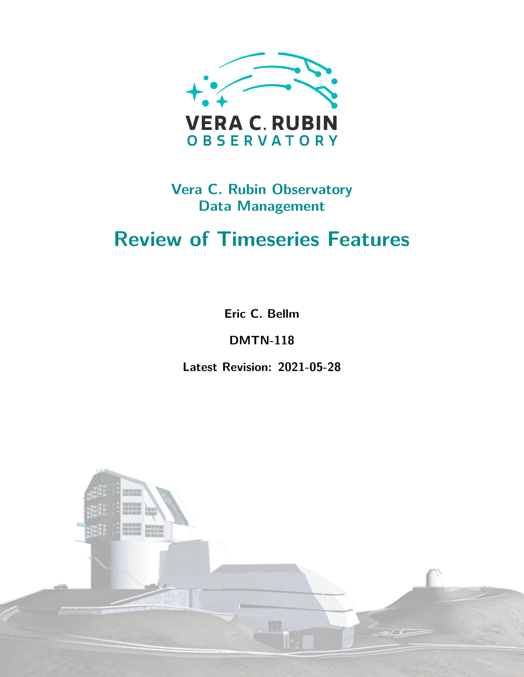

# **Vera C. Rubin Observatory Data Management**

# **Review of Timeseries Features**

**Eric C. Bellm**

**DMTN-118**

**Latest Revision: 2021-05-28**

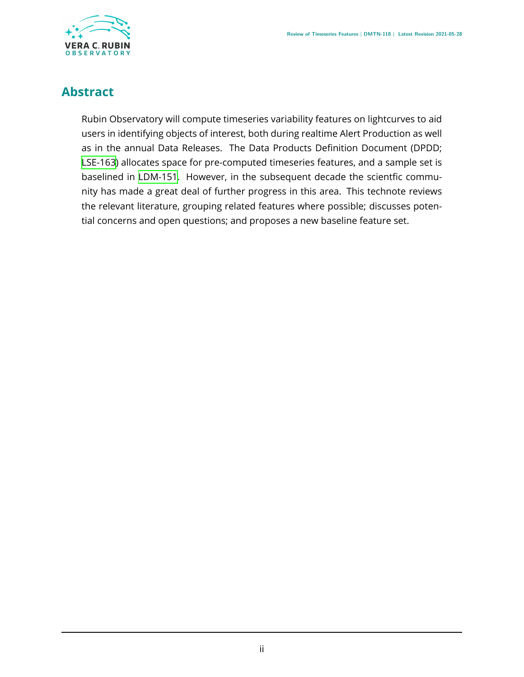

### **Abstract**

Rubin Observatory will compute timeseries variability features on lightcurves to aid users in identifying objects of interest, both during realtime Alert Production as well as in the annual Data Releases. The Data Products Definition Document (DPDD; [LSE-163](#page-31-0)) allocates space for pre-computed timeseries features, and a sample set is baselined in [LDM-151.](#page-34-0) However, in the subsequent decade the scientfic community has made a great deal of further progress in this area. This technote reviews the relevant literature, grouping related features where possible; discusses potential concerns and open questions; and proposes a new baseline feature set.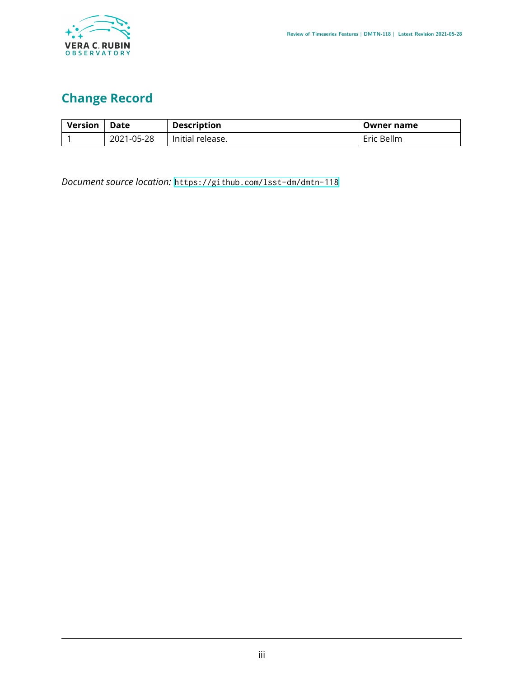

# **Change Record**

| <b>Version</b> | Date       | <b>Description</b> | Owner name |
|----------------|------------|--------------------|------------|
|                | 2021-05-28 | Initial release.   | Eric Bellm |

*Document source location:* <https://github.com/lsst-dm/dmtn-118>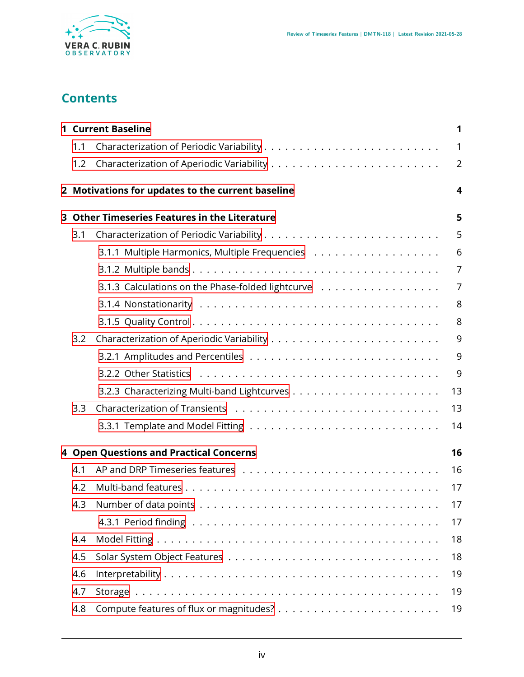

# **Contents**

|   |                                                      | <b>1 Current Baseline</b><br>1                     |                |  |  |  |  |
|---|------------------------------------------------------|----------------------------------------------------|----------------|--|--|--|--|
|   | 1.1                                                  |                                                    | $\mathbf{1}$   |  |  |  |  |
|   | 1.2                                                  |                                                    | $\overline{2}$ |  |  |  |  |
|   |                                                      | 2 Motivations for updates to the current baseline  | 4              |  |  |  |  |
| 3 |                                                      | <b>Other Timeseries Features in the Literature</b> | 5              |  |  |  |  |
|   | 3.1                                                  |                                                    | 5              |  |  |  |  |
|   |                                                      |                                                    | 6              |  |  |  |  |
|   |                                                      |                                                    | 7              |  |  |  |  |
|   |                                                      | 3.1.3 Calculations on the Phase-folded lightcurve  | 7              |  |  |  |  |
|   |                                                      |                                                    | 8              |  |  |  |  |
|   |                                                      |                                                    | 8              |  |  |  |  |
|   | 3.2                                                  |                                                    | 9              |  |  |  |  |
|   |                                                      |                                                    | 9              |  |  |  |  |
|   |                                                      |                                                    | 9              |  |  |  |  |
|   |                                                      |                                                    | 13             |  |  |  |  |
|   | 3.3                                                  |                                                    | 13             |  |  |  |  |
|   |                                                      |                                                    | 14             |  |  |  |  |
|   | <b>4 Open Questions and Practical Concerns</b><br>16 |                                                    |                |  |  |  |  |
|   | 4.1                                                  |                                                    | 16             |  |  |  |  |
|   | 4.2                                                  |                                                    | 17             |  |  |  |  |
|   | 4.3                                                  |                                                    | 17             |  |  |  |  |
|   |                                                      |                                                    | 17             |  |  |  |  |
|   | 4.4                                                  |                                                    | 18             |  |  |  |  |
|   | 4.5                                                  |                                                    | 18             |  |  |  |  |
|   | 4.6                                                  |                                                    | 19             |  |  |  |  |
|   | 4.7                                                  |                                                    | 19             |  |  |  |  |
|   | 4.8                                                  |                                                    | 19             |  |  |  |  |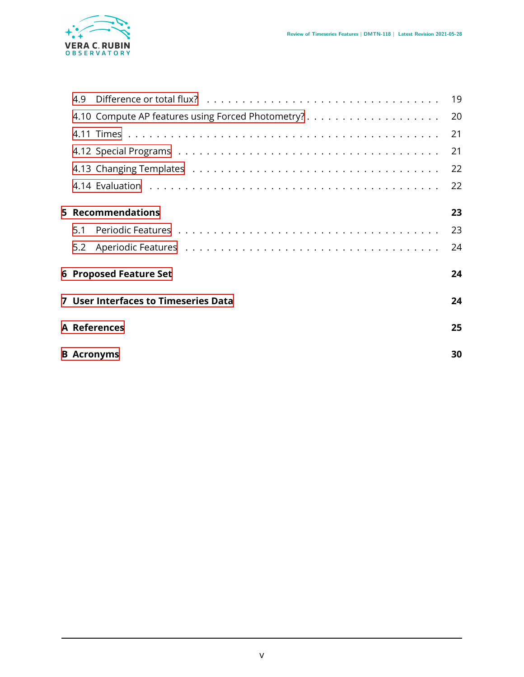

| 4.9 |                                             | 19  |
|-----|---------------------------------------------|-----|
|     |                                             | -20 |
|     |                                             | 21  |
|     |                                             | 21  |
|     |                                             | 22  |
|     |                                             | 22  |
|     | <b>5</b> Recommendations                    | 23  |
| 5.1 |                                             | 23  |
| 5.2 |                                             | 24  |
|     | <b>6 Proposed Feature Set</b>               | 24  |
|     | <b>7 User Interfaces to Timeseries Data</b> | 24  |
|     | A References                                | 25  |
|     | <b>B</b> Acronyms                           | 30  |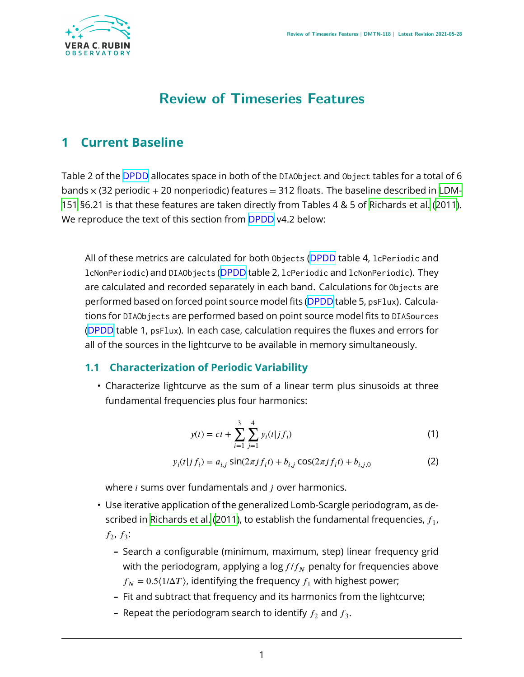

# **Review of Timeseries Features**

# <span id="page-5-0"></span>**1 Current Baseline**

Table 2 of the [DPDD](https://docushare.lsstcorp.org/docushare/dsweb/Get/LSE-163) allocates space in both of the DIAObject and Object tables for a total of 6 bands  $\times$  (32 periodic + 20 nonperiodic) features = 312 floats. The baseline described in [LDM-](#page-34-0)[151](#page-34-0) §6.21 is that these features are taken directly from Tables 4 & 5 of [Richards et al.](#page-33-0) ([2011\)](#page-33-0). We reproduce the text of this section from [DPDD](https://docushare.lsstcorp.org/docushare/dsweb/Get/LSE-163) v4.2 below:

All of these metrics are calculated for both Objects [\(DPDD](https://docushare.lsstcorp.org/docushare/dsweb/Get/LSE-163) table 4, lcPeriodic and lcNonPeriodic) and DIAObjects [\(DPDD](https://docushare.lsstcorp.org/docushare/dsweb/Get/LSE-163) table 2, lcPeriodic and lcNonPeriodic). They are calculated and recorded separately in each band. Calculations for Objects are performed based on forced point source model fits [\(DPDD](https://docushare.lsstcorp.org/docushare/dsweb/Get/LSE-163) table 5, psFlux). Calculations for DIAObjects are performed based on point source model fits to DIASources ([DPDD](https://docushare.lsstcorp.org/docushare/dsweb/Get/LSE-163) table 1, psFlux). In each case, calculation requires the fluxes and errors for all of the sources in the lightcurve to be available in memory simultaneously.

### <span id="page-5-1"></span>**1.1 Characterization of Periodic Variability**

• Characterize lightcurve as the sum of a linear term plus sinusoids at three fundamental frequencies plus four harmonics:

$$
y(t) = ct + \sum_{i=1}^{3} \sum_{j=1}^{4} y_i(t|j f_i)
$$
 (1)

$$
y_i(t|jf_i) = a_{i,j} \sin(2\pi j f_i t) + b_{i,j} \cos(2\pi j f_i t) + b_{i,j,0}
$$
 (2)

where  $i$  sums over fundamentals and  $j$  over harmonics.

- Use iterative application of the generalized Lomb-Scargle periodogram, as de-scribed in [Richards et al.](#page-33-0) [\(2011\)](#page-33-0), to establish the fundamental frequencies,  $f_1$ ,  $f_2$ ,  $f_3$ :
	- **–** Search a configurable (minimum, maximum, step) linear frequency grid with the periodogram, applying a log  $f/f_N$  penalty for frequencies above  $f_N = 0.5\langle 1/\Delta T \rangle$ , identifying the frequency  $f_1$  with highest power;
	- **–** Fit and subtract that frequency and its harmonics from the lightcurve;
	- Repeat the periodogram search to identify  $f_2$  and  $f_3.$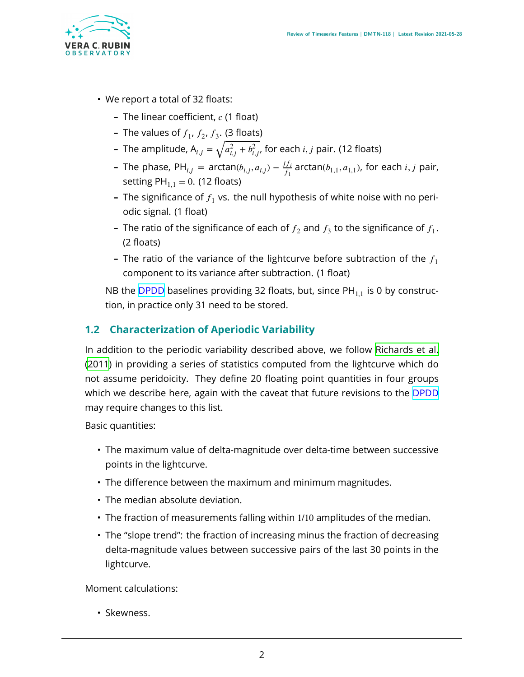

- We report a total of 32 floats:
	- **–** The linear coefficient, (1 float)
	- **–** The values of  $f_1$ ,  $f_2$ ,  $f_3$ . (3 floats)
	- **–** The amplitude,  $A_{i,j} = \sqrt{a_{i,j}^2 + b_{i,j}^2}$ , for each  $i,j$  pair. (12 floats)
	- **–** The phase, PH $_{i,j}$  = arctan $(b_{i,j}, a_{i,j}) \frac{if_i}{f_1}$  arctan $(b_{1,1}, a_{1,1})$ , for each  $i, j$  pair, setting  $PH_{1,1} = 0$ . (12 floats)
	- **–** The significance of  $f_1$  vs. the null hypothesis of white noise with no periodic signal. (1 float)
	- The ratio of the significance of each of  $f_2$  and  $f_3$  to the significance of  $f_1.$ (2 floats)
	- **–** The ratio of the variance of the lightcurve before subtraction of the  $f_1$ component to its variance after subtraction. (1 float)

NB the [DPDD](https://docushare.lsstcorp.org/docushare/dsweb/Get/LSE-163) baselines providing 32 floats, but, since  $PH_{1,1}$  is 0 by construction, in practice only 31 need to be stored.

### <span id="page-6-0"></span>**1.2 Characterization of Aperiodic Variability**

In addition to the periodic variability described above, we follow [Richards et al.](#page-33-0) ([2011](#page-33-0)) in providing a series of statistics computed from the lightcurve which do not assume peridoicity. They define 20 floating point quantities in four groups which we describe here, again with the caveat that future revisions to the [DPDD](https://docushare.lsstcorp.org/docushare/dsweb/Get/LSE-163) may require changes to this list.

Basic quantities:

- The maximum value of delta-magnitude over delta-time between successive points in the lightcurve.
- The difference between the maximum and minimum magnitudes.
- The median absolute deviation.
- The fraction of measurements falling within 1/10 amplitudes of the median.
- The "slope trend": the fraction of increasing minus the fraction of decreasing delta-magnitude values between successive pairs of the last 30 points in the lightcurve.

Moment calculations:

• Skewness.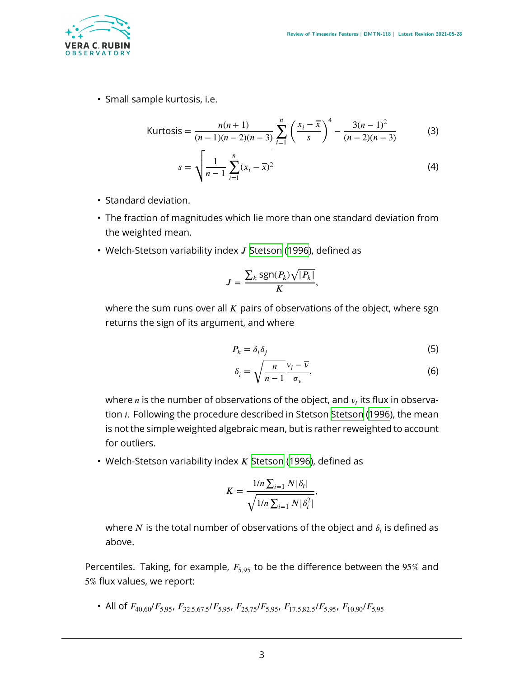

• Small sample kurtosis, i.e.

Kurtosis = 
$$
\frac{n(n+1)}{(n-1)(n-2)(n-3)} \sum_{i=1}^{n} \left(\frac{x_i - \overline{x}}{s}\right)^4 - \frac{3(n-1)^2}{(n-2)(n-3)}
$$
(3)

$$
s = \sqrt{\frac{1}{n-1} \sum_{i=1}^{n} (x_i - \overline{x})^2}
$$
 (4)

- Standard deviation.
- The fraction of magnitudes which lie more than one standard deviation from the weighted mean.
- Welch-[Stetson](#page-34-2) variability index  $J$  Stetson ([1996\)](#page-34-2), defined as

$$
J = \frac{\sum_{k} \text{sgn}(P_k) \sqrt{|P_k|}}{K},
$$

where the sum runs over all  $K$  pairs of observations of the object, where sgn returns the sign of its argument, and where

$$
P_k = \delta_i \delta_j \tag{5}
$$

$$
\delta_i = \sqrt{\frac{n}{n-1}} \frac{v_i - \overline{v}}{\sigma_v},\tag{6}
$$

where  $n$  is the number of observations of the object, and  $v_i$  its flux in observation  $i$ . Following the procedure described in [Stetson](#page-34-2) Stetson ([1996\)](#page-34-2), the mean is not the simple weighted algebraic mean, but is rather reweighted to account for outliers.

• Welch-[Stetson](#page-34-2) variability index  $K$  Stetson ([1996\)](#page-34-2), defined as

$$
K = \frac{1/n \sum_{i=1} N |\delta_i|}{\sqrt{1/n \sum_{i=1} N |\delta_i^2|}},
$$

where  $N$  is the total number of observations of the object and  $\delta_i$  is defined as above.

Percentiles. Taking, for example,  $F_{5,95}$  to be the difference between the 95% and 5% flux values, we report:

• All of  $F_{40,60}/F_{5,95}$ ,  $F_{32,5,67,5}/F_{5,95}$ ,  $F_{25,75}/F_{5,95}$ ,  $F_{17,5,82,5}/F_{5,95}$ ,  $F_{10,90}/F_{5,95}$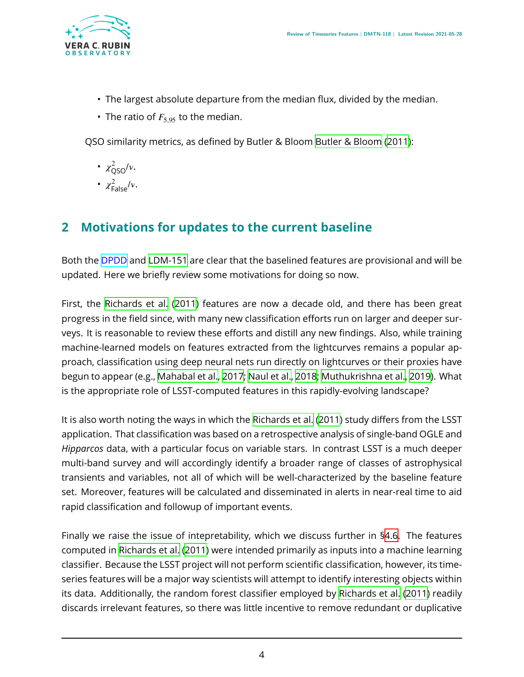

- The largest absolute departure from the median flux, divided by the median.
- The ratio of  $F_{5,95}$  to the median.

QSO similarity metrics, as defined by Butler & Bloom [Butler & Bloom](#page-29-1) [\(2011](#page-29-1)):

- $\chi^2_{\text{QSO}}/v$ .
- $\chi^2_{\text{False}}/v$ .

# <span id="page-8-0"></span>**2 Motivations for updates to the current baseline**

Both the [DPDD](https://docushare.lsstcorp.org/docushare/dsweb/Get/LSE-163) and [LDM-151](#page-34-0) are clear that the baselined features are provisional and will be updated. Here we briefly review some motivations for doing so now.

First, the [Richards et al.](#page-33-0) [\(2011](#page-33-0)) features are now a decade old, and there has been great progress in the field since, with many new classification efforts run on larger and deeper surveys. It is reasonable to review these efforts and distill any new findings. Also, while training machine-learned models on features extracted from the lightcurves remains a popular approach, classification using deep neural nets run directly on lightcurves or their proxies have begun to appear (e.g., [Mahabal et al.,](#page-32-0) [2017;](#page-32-0) [Naul et al.](#page-33-1), [2018](#page-33-1); [Muthukrishna et al.,](#page-32-1) [2019\)](#page-32-1). What is the appropriate role of LSST-computed features in this rapidly-evolving landscape?

It is also worth noting the ways in which the [Richards et al.](#page-33-0) [\(2011](#page-33-0)) study differs from the LSST application. That classification was based on a retrospective analysis of single-band OGLE and *Hipparcos* data, with a particular focus on variable stars. In contrast LSST is a much deeper multi-band survey and will accordingly identify a broader range of classes of astrophysical transients and variables, not all of which will be well-characterized by the baseline feature set. Moreover, features will be calculated and disseminated in alerts in near-real time to aid rapid classification and followup of important events.

Finally we raise the issue of intepretability, which we discuss further in§[4.6](#page-23-0). The features computed in [Richards et al.](#page-33-0) [\(2011](#page-33-0)) were intended primarily as inputs into a machine learning classifier. Because the LSST project will not perform scientific classification, however, its timeseries features will be a major way scientists will attempt to identify interesting objects within its data. Additionally, the random forest classifier employed by [Richards et al.](#page-33-0) [\(2011](#page-33-0)) readily discards irrelevant features, so there was little incentive to remove redundant or duplicative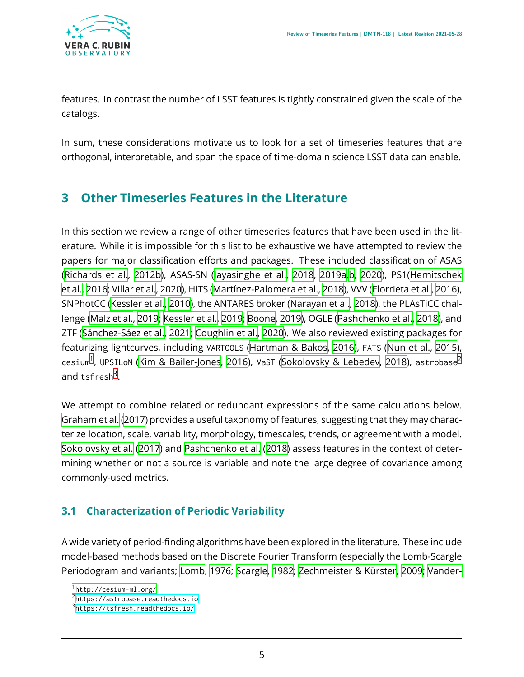

features. In contrast the number of LSST features is tightly constrained given the scale of the catalogs.

In sum, these considerations motivate us to look for a set of timeseries features that are orthogonal, interpretable, and span the space of time-domain science LSST data can enable.

# <span id="page-9-0"></span>**3 Other Timeseries Features in the Literature**

In this section we review a range of other timeseries features that have been used in the literature. While it is impossible for this list to be exhaustive we have attempted to review the papers for major classification efforts and packages. These included classification of ASAS [\(Richards et al.,](#page-33-2) [2012b](#page-33-2)), ASAS-SN [\(Jayasinghe et al.,](#page-31-1) [2018,](#page-31-1) [2019a,](#page-31-2)[b](#page-31-3), [2020](#page-31-4)), PS1[\(Hernitschek](#page-31-5) [et al.,](#page-31-5) [2016;](#page-31-5) [Villar et al.](#page-34-3), [2020](#page-34-3)), HiTS([Martínez-Palomera et al.,](#page-32-2) [2018\)](#page-32-2), VVV([Elorrieta et al.](#page-30-0), [2016](#page-30-0)), SNPhotCC [\(Kessler et al.,](#page-31-6) [2010\)](#page-31-6), the ANTARES broker [\(Narayan et al.,](#page-33-3) [2018\)](#page-33-3), the PLAsTiCC challenge [\(Malz et al.](#page-32-3), [2019](#page-32-3); [Kessler et al.,](#page-32-4) [2019;](#page-32-4) [Boone](#page-29-2), [2019](#page-29-2)), OGLE [\(Pashchenko et al.](#page-33-4), [2018](#page-33-4)), and ZTF [\(Sánchez-Sáez et al.](#page-33-5), [2021;](#page-33-5) [Coughlin et al.](#page-30-1), [2020\)](#page-30-1). We also reviewed existing packages for featurizing lightcurves, including VARTOOLS ([Hartman & Bakos,](#page-31-7) [2016](#page-31-7)), FATS [\(Nun et al.,](#page-33-6) [2015](#page-33-6)), cesium<sup>[1](#page-9-2)</sup>, UPSILoN [\(Kim & Bailer-Jones](#page-32-5), [2016\)](#page-32-5), VaST ([Sokolovsky & Lebedev,](#page-33-7) [2018\)](#page-33-7), astrobase<sup>[2](#page-9-3)</sup> and  $\sf{ts}$ fresh $^3$  $^3$ .

We attempt to combine related or redundant expressions of the same calculations below. [Graham et al.](#page-30-2) ([2017\)](#page-30-2) provides a useful taxonomy of features, suggesting that they may characterize location, scale, variability, morphology, timescales, trends, or agreement with a model. [Sokolovsky et al.](#page-34-4) ([2017\)](#page-34-4) and [Pashchenko et al.](#page-33-4) ([2018\)](#page-33-4) assess features in the context of determining whether or not a source is variable and note the large degree of covariance among commonly-used metrics.

### <span id="page-9-1"></span>**3.1 Characterization of Periodic Variability**

A wide variety of period-finding algorithms have been explored in the literature. These include model-based methods based on the Discrete Fourier Transform (especially the Lomb-Scargle Periodogram and variants; [Lomb](#page-32-6), [1976](#page-32-6); [Scargle,](#page-33-8) [1982](#page-33-8); [Zechmeister & Kürster](#page-34-5), [2009](#page-34-5); [Vander-](#page-34-6)

<span id="page-9-2"></span><sup>1</sup> [http://cesium-ml.org/](#page-34-6)

<span id="page-9-3"></span><sup>&</sup>lt;sup>2</sup><https://astrobase.readthedocs.io>

<span id="page-9-4"></span><sup>3</sup> <https://tsfresh.readthedocs.io/>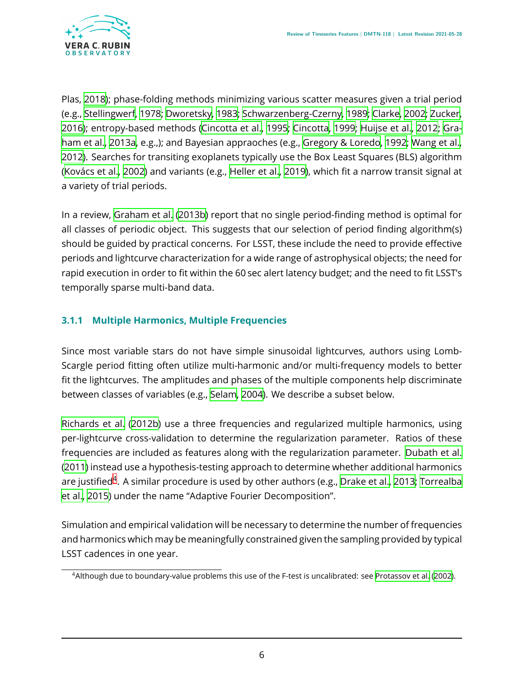

Plas, [2018](#page-34-6)); phase-folding methods minimizing various scatter measures given a trial period (e.g., [Stellingwerf](#page-34-7), [1978](#page-34-7); [Dworetsky,](#page-30-3) [1983;](#page-30-3) [Schwarzenberg-Czerny,](#page-33-9) [1989;](#page-33-9) [Clarke](#page-30-4), [2002](#page-30-4); [Zucker](#page-34-8), [2016\)](#page-34-8); entropy-based methods([Cincotta et al.,](#page-30-5) [1995](#page-30-5); [Cincotta](#page-30-6), [1999](#page-30-6); [Huijse et al.](#page-31-8), [2012;](#page-31-8) [Gra](#page-30-7)[ham et al.](#page-30-7), [2013a,](#page-30-7) e.g.,); and Bayesian appraoches (e.g., [Gregory & Loredo,](#page-30-8) [1992](#page-30-8); [Wang et al.](#page-34-9), [2012\)](#page-34-9). Searches for transiting exoplanets typically use the Box Least Squares (BLS) algorithm [\(Kovács et al.](#page-32-7), [2002](#page-32-7)) and variants (e.g., [Heller et al.,](#page-31-9) [2019](#page-31-9)), which fit a narrow transit signal at a variety of trial periods.

In a review, [Graham et al.](#page-30-9) ([2013b](#page-30-9)) report that no single period-finding method is optimal for all classes of periodic object. This suggests that our selection of period finding algorithm(s) should be guided by practical concerns. For LSST, these include the need to provide effective periods and lightcurve characterization for a wide range of astrophysical objects; the need for rapid execution in order to fit within the 60 sec alert latency budget; and the need to fit LSST's temporally sparse multi-band data.

#### <span id="page-10-0"></span>**3.1.1 Multiple Harmonics, Multiple Frequencies**

Since most variable stars do not have simple sinusoidal lightcurves, authors using Lomb-Scargle period fitting often utilize multi-harmonic and/or multi-frequency models to better fit the lightcurves. The amplitudes and phases of the multiple components help discriminate between classes of variables (e.g., [Selam,](#page-33-10) [2004](#page-33-10)). We describe a subset below.

[Richards et al.](#page-33-2) [\(2012b](#page-33-2)) use a three frequencies and regularized multiple harmonics, using per-lightcurve cross-validation to determine the regularization parameter. Ratios of these frequencies are included as features along with the regularization parameter. [Dubath et al.](#page-30-10) [\(2011](#page-30-10)) instead use a hypothesis-testing approach to determine whether additional harmonics are justified<sup>[4](#page-10-2)</sup>. A similar procedure is used by other authors (e.g., [Drake et al.,](#page-30-11) [2013](#page-30-11); [Torrealba](#page-34-10) [et al.,](#page-34-10) [2015\)](#page-34-10) under the name "Adaptive Fourier Decomposition".

Simulation and empirical validation will be necessary to determine the number of frequencies and harmonics which may be meaningfully constrained given the sampling provided by typical LSST cadences in one year.

<span id="page-10-2"></span><span id="page-10-1"></span><sup>4</sup>Although due to boundary-value problems this use of the F-test is uncalibrated: see [Protassov et al.](#page-33-11) [\(2002\)](#page-33-11).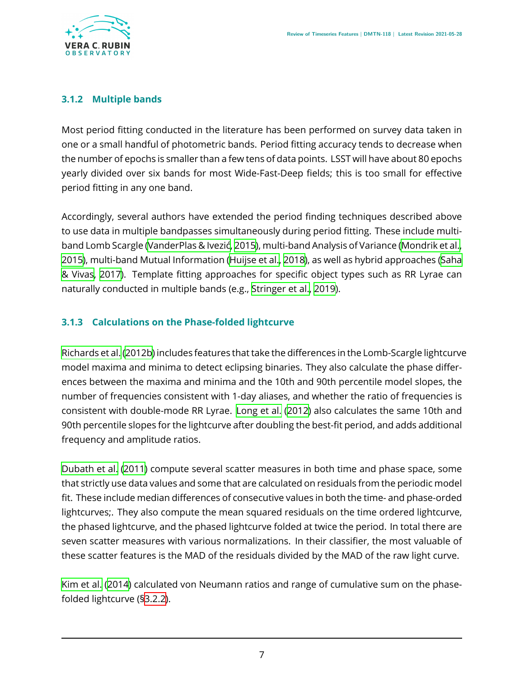

#### **3.1.2 Multiple bands**

Most period fitting conducted in the literature has been performed on survey data taken in one or a small handful of photometric bands. Period fitting accuracy tends to decrease when the number of epochs is smaller than a few tens of data points. LSST will have about 80 epochs yearly divided over six bands for most Wide-Fast-Deep fields; this is too small for effective period fitting in any one band.

Accordingly, several authors have extended the period finding techniques described above to use data in multiple bandpasses simultaneously during period fitting. These include multiband Lomb Scargle([VanderPlas & Ivezić](#page-34-11), [2015\)](#page-34-11), multi-band Analysis of Variance [\(Mondrik et al.](#page-32-8), [2015\)](#page-32-8), multi-band Mutual Information [\(Huijse et al.](#page-31-10), [2018](#page-31-10)), as well as hybrid approaches [\(Saha](#page-33-12) [& Vivas,](#page-33-12) [2017](#page-33-12)). Template fitting approaches for specific object types such as RR Lyrae can naturally conducted in multiple bands (e.g., [Stringer et al.,](#page-34-12) [2019](#page-34-12)).

#### <span id="page-11-0"></span>**3.1.3 Calculations on the Phase-folded lightcurve**

[Richards et al.](#page-33-2) [\(2012b](#page-33-2)) includes features that take the differences in the Lomb-Scargle lightcurve model maxima and minima to detect eclipsing binaries. They also calculate the phase differences between the maxima and minima and the 10th and 90th percentile model slopes, the number of frequencies consistent with 1-day aliases, and whether the ratio of frequencies is consistent with double-mode RR Lyrae. [Long et al.](#page-32-9) ([2012\)](#page-32-9) also calculates the same 10th and 90th percentile slopes for the lightcurve after doubling the best-fit period, and adds additional frequency and amplitude ratios.

[Dubath et al.](#page-30-10) [\(2011](#page-30-10)) compute several scatter measures in both time and phase space, some that strictly use data values and some that are calculated on residuals from the periodic model fit. These include median differences of consecutive values in both the time- and phase-orded lightcurves;. They also compute the mean squared residuals on the time ordered lightcurve, the phased lightcurve, and the phased lightcurve folded at twice the period. In total there are seven scatter measures with various normalizations. In their classifier, the most valuable of these scatter features is the MAD of the residuals divided by the MAD of the raw light curve.

[Kim et al.](#page-32-10) [\(2014](#page-32-10)) calculated von Neumann ratios and range of cumulative sum on the phasefolded lightcurve ([§3.2.2\)](#page-13-2).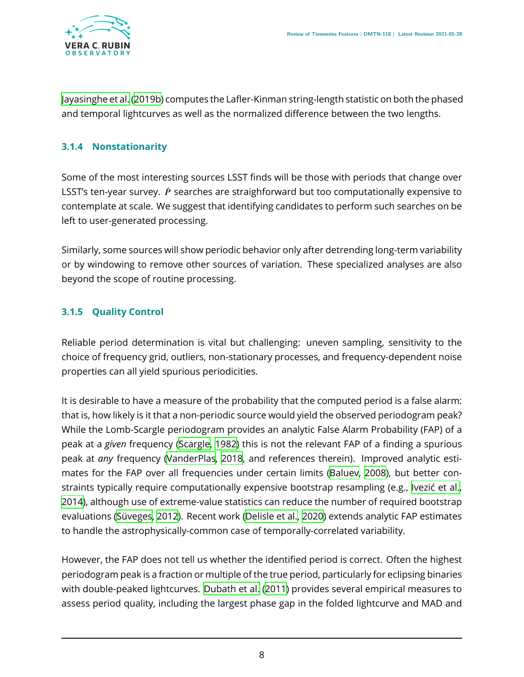

[Jayasinghe et al.](#page-31-3) ([2019b](#page-31-3)) computes the Lafler-Kinman string-length statistic on both the phased and temporal lightcurves as well as the normalized difference between the two lengths.

#### <span id="page-12-0"></span>**3.1.4 Nonstationarity**

Some of the most interesting sources LSST finds will be those with periods that change over LSST's ten-year survey.  $\dot{P}$  searches are straighforward but too computationally expensive to contemplate at scale. We suggest that identifying candidates to perform such searches on be left to user-generated processing.

Similarly, some sources will show periodic behavior only after detrending long-term variability or by windowing to remove other sources of variation. These specialized analyses are also beyond the scope of routine processing.

### <span id="page-12-1"></span>**3.1.5 Quality Control**

Reliable period determination is vital but challenging: uneven sampling, sensitivity to the choice of frequency grid, outliers, non-stationary processes, and frequency-dependent noise properties can all yield spurious periodicities.

It is desirable to have a measure of the probability that the computed period is a false alarm: that is, how likely is it that a non-periodic source would yield the observed periodogram peak? While the Lomb-Scargle periodogram provides an analytic False Alarm Probability (FAP) of a peak at a *given* frequency([Scargle](#page-33-8), [1982](#page-33-8)) this is not the relevant FAP of a finding a spurious peak at *any* frequency([VanderPlas](#page-34-6), [2018,](#page-34-6) and references therein). Improved analytic estimates for the FAP over all frequencies under certain limits [\(Baluev](#page-29-3), [2008](#page-29-3)), but better constraints typically require computationally expensive bootstrap resampling (e.g., [Ivezić et al.](#page-31-11), [2014\)](#page-31-11), although use of extreme-value statistics can reduce the number of required bootstrap evaluations [\(Süveges,](#page-34-13) [2012](#page-34-13)). Recent work([Delisle et al.,](#page-30-12) [2020](#page-30-12)) extends analytic FAP estimates to handle the astrophysically-common case of temporally-correlated variability.

However, the FAP does not tell us whether the identified period is correct. Often the highest periodogram peak is a fraction or multiple of the true period, particularly for eclipsing binaries with double-peaked lightcurves. [Dubath et al.](#page-30-10) ([2011\)](#page-30-10) provides several empirical measures to assess period quality, including the largest phase gap in the folded lightcurve and MAD and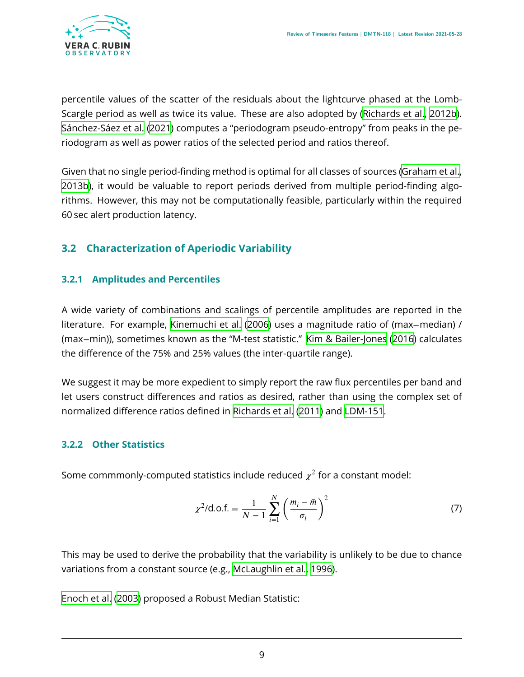

percentile values of the scatter of the residuals about the lightcurve phased at the Lomb-Scargle period as well as twice its value. These are also adopted by([Richards et al.](#page-33-2), [2012b\)](#page-33-2). [Sánchez-Sáez et al.](#page-33-5) ([2021\)](#page-33-5) computes a "periodogram pseudo-entropy" from peaks in the periodogram as well as power ratios of the selected period and ratios thereof.

Given that no single period-finding method is optimal for all classes of sources [\(Graham et al.](#page-30-9), [2013b\)](#page-30-9), it would be valuable to report periods derived from multiple period-finding algorithms. However, this may not be computationally feasible, particularly within the required 60 sec alert production latency.

### <span id="page-13-1"></span><span id="page-13-0"></span>**3.2 Characterization of Aperiodic Variability**

#### **3.2.1 Amplitudes and Percentiles**

A wide variety of combinations and scalings of percentile amplitudes are reported in the literature. For example, [Kinemuchi et al.](#page-32-11) [\(2006](#page-32-11)) uses a magnitude ratio of (max−median) / (max−min)), sometimes known as the "M-test statistic." [Kim & Bailer-Jones](#page-32-5) ([2016\)](#page-32-5) calculates the difference of the 75% and 25% values (the inter-quartile range).

We suggest it may be more expedient to simply report the raw flux percentiles per band and let users construct differences and ratios as desired, rather than using the complex set of normalized difference ratios defined in [Richards et al.](#page-33-0) [\(2011](#page-33-0)) and [LDM-151](#page-34-0).

### <span id="page-13-2"></span>**3.2.2 Other Statistics**

Some commmonly-computed statistics include reduced  $\chi^2$  for a constant model:

$$
\chi^2/\text{d.o.f.} = \frac{1}{N-1} \sum_{i=1}^{N} \left( \frac{m_i - \bar{m}}{\sigma_i} \right)^2 \tag{7}
$$

This may be used to derive the probability that the variability is unlikely to be due to chance variations from a constant source (e.g., [McLaughlin et al.,](#page-32-12) [1996](#page-32-12)).

[Enoch et al.](#page-30-13) ([2003\)](#page-30-13) proposed a Robust Median Statistic: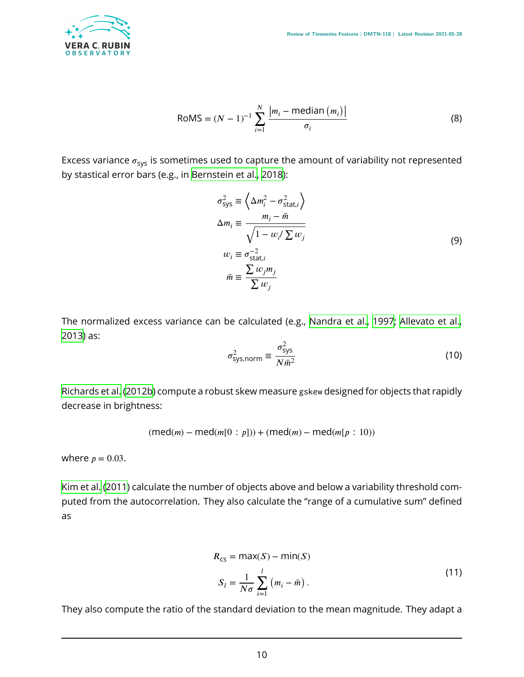

$$
ROMS = (N - 1)^{-1} \sum_{i=1}^{N} \frac{|m_i - \text{median}(m_i)|}{\sigma_i}
$$
 (8)

Excess variance  $\sigma_{sys}$  is sometimes used to capture the amount of variability not represented by stastical error bars (e.g., in [Bernstein et al.](#page-29-4), [2018\)](#page-29-4):

$$
\sigma_{\text{sys}}^2 \equiv \left\langle \Delta m_i^2 - \sigma_{\text{stat},i}^2 \right\rangle
$$
  
\n
$$
\Delta m_i \equiv \frac{m_i - \bar{m}}{\sqrt{1 - w_i / \sum w_j}}
$$
  
\n
$$
w_i \equiv \sigma_{\text{stat},i}^{-2}
$$
  
\n
$$
\bar{m} \equiv \frac{\sum w_j m_j}{\sum w_j}
$$
\n(9)

The normalized excess variance can be calculated (e.g., [Nandra et al.](#page-32-13), [1997;](#page-32-13) [Allevato et al.](#page-29-5), [2013\)](#page-29-5) as:

$$
\sigma_{\text{sys,norm}}^2 \equiv \frac{\sigma_{\text{sys}}^2}{N \bar{m}^2} \tag{10}
$$

[Richards et al.](#page-33-2) ([2012b\)](#page-33-2) compute a robust skew measure gskew designed for objects that rapidly decrease in brightness:

 $(\text{med}(m) - \text{med}(m[0 : p])) + (\text{med}(m) - \text{med}(m[p : 10))$ 

where  $p = 0.03$ .

[Kim et al.](#page-32-14) ([2011\)](#page-32-14) calculate the number of objects above and below a variability threshold computed from the autocorrelation. They also calculate the "range of a cumulative sum" defined as

$$
R_{\text{cs}} = \max(S) - \min(S)
$$
  

$$
S_{l} = \frac{1}{N\sigma} \sum_{i=1}^{l} (m_{i} - \bar{m}).
$$
 (11)

They also compute the ratio of the standard deviation to the mean magnitude. They adapt a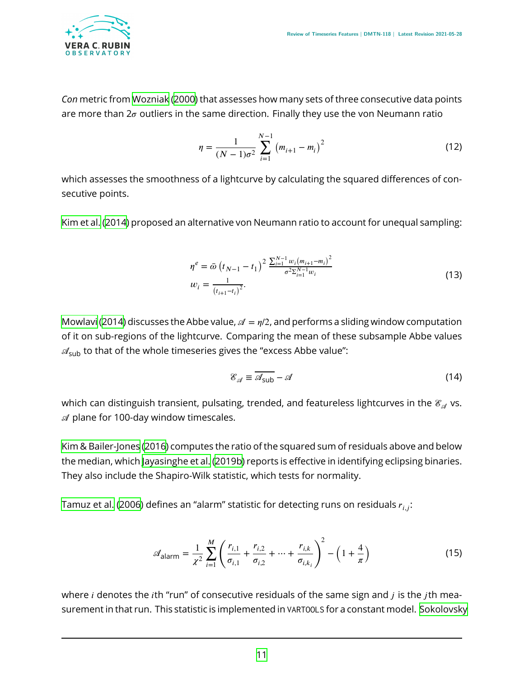

*Con* metric from [Wozniak](#page-34-14) [\(2000](#page-34-14)) that assesses how many sets of three consecutive data points are more than  $2\sigma$  outliers in the same direction. Finally they use the von Neumann ratio

$$
\eta = \frac{1}{(N-1)\sigma^2} \sum_{i=1}^{N-1} (m_{i+1} - m_i)^2
$$
 (12)

which assesses the smoothness of a lightcurve by calculating the squared differences of consecutive points.

[Kim et al.](#page-32-10) ([2014\)](#page-32-10) proposed an alternative von Neumann ratio to account for unequal sampling:

$$
\eta^{e} = \bar{\omega} \left( t_{N-1} - t_{1} \right)^{2} \frac{\sum_{i=1}^{N-1} w_{i} \left( m_{i+1} - m_{i} \right)^{2}}{\sigma^{2} \sum_{i=1}^{N-1} w_{i}}
$$
\n
$$
w_{i} = \frac{1}{\left( t_{i+1} - t_{i} \right)^{2}}.
$$
\n(13)

[Mowlavi](#page-32-15) [\(2014](#page-32-15)) discusses the Abbe value,  $\mathcal{A} = \eta/2$ , and performs a sliding window computation of it on sub-regions of the lightcurve. Comparing the mean of these subsample Abbe values  $\mathscr{A}_{sub}$  to that of the whole timeseries gives the "excess Abbe value":

$$
\mathcal{E}_{\mathcal{A}} \equiv \overline{\mathcal{A}_{\text{sub}}} - \mathcal{A} \tag{14}
$$

which can distinguish transient, pulsating, trended, and featureless lightcurves in the  $\mathscr{E}_{\mathscr{A}}$  vs.  $\mathscr A$  plane for 100-day window timescales.

[Kim & Bailer-Jones](#page-32-5) [\(2016\)](#page-32-5) computes the ratio of the squared sum of residuals above and below the median, which [Jayasinghe et al.](#page-31-3) [\(2019b\)](#page-31-3) reports is effective in identifying eclipsing binaries. They also include the Shapiro-Wilk statistic, which tests for normality.

[Tamuz et al.](#page-34-15) [\(2006](#page-34-15)) defines an "alarm" statistic for detecting runs on residuals  $r_{ij}$ :

$$
\mathcal{A}_{\text{alarm}} = \frac{1}{\chi^2} \sum_{i=1}^{M} \left( \frac{r_{i,1}}{\sigma_{i,1}} + \frac{r_{i,2}}{\sigma_{i,2}} + \dots + \frac{r_{i,k}}{\sigma_{i,k_i}} \right)^2 - \left( 1 + \frac{4}{\pi} \right)
$$
(15)

where  $i$  denotes the  $i$ th "run" of consecutive residuals of the same sign and  $j$  is the  $j$ th measurement in that run. This statistic is implemented in VARTOOLS for a constant model. [Sokolovsky](#page-34-4)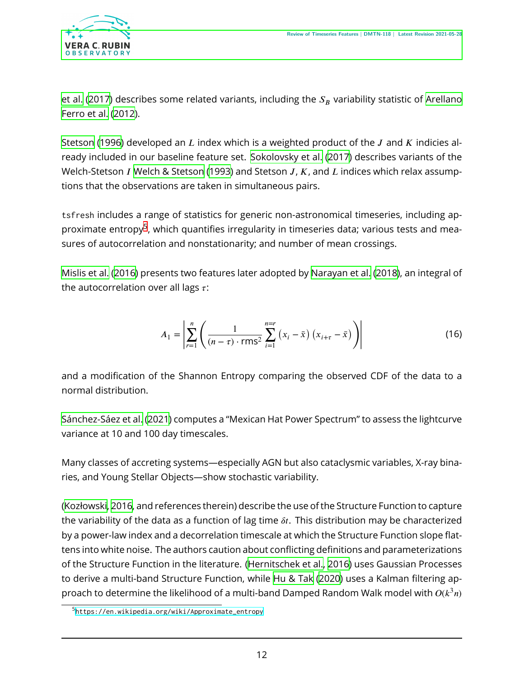

[et al.](#page-34-4) [\(2017](#page-34-4)) describes some related variants, including the  $S_B$  variability statistic of [Arellano](#page-29-6) [Ferro et al.](#page-29-6) ([2012\)](#page-29-6).

[Stetson](#page-34-2) ([1996\)](#page-34-2) developed an  $L$  index which is a weighted product of the  $J$  and  $K$  indicies already included in our baseline feature set. [Sokolovsky et al.](#page-34-4) [\(2017](#page-34-4)) describes variants of the Welch-Stetson I [Welch & Stetson](#page-34-16) ([1993\)](#page-34-16) and Stetson J, K, and L indices which relax assumptions that the observations are taken in simultaneous pairs.

tsfresh includes a range of statistics for generic non-astronomical timeseries, including ap-proximate entropy<sup>[5](#page-16-0)</sup>, which quantifies irregularity in timeseries data; various tests and measures of autocorrelation and nonstationarity; and number of mean crossings.

[Mislis et al.](#page-32-16) [\(2016](#page-32-16)) presents two features later adopted by [Narayan et al.](#page-33-3) [\(2018](#page-33-3)), an integral of the autocorrelation over all lags  $\tau$ :

$$
A_1 = \left| \sum_{r=1}^{n} \left( \frac{1}{(n-\tau) \cdot \text{rms}^2} \sum_{i=1}^{n-r} (x_i - \bar{x}) (x_{i+\tau} - \bar{x}) \right) \right| \tag{16}
$$

and a modification of the Shannon Entropy comparing the observed CDF of the data to a normal distribution.

[Sánchez-Sáez et al.](#page-33-5) ([2021\)](#page-33-5) computes a "Mexican Hat Power Spectrum" to assess the lightcurve variance at 10 and 100 day timescales.

Many classes of accreting systems—especially AGN but also cataclysmic variables, X-ray binaries, and Young Stellar Objects—show stochastic variability.

[\(Kozłowski](#page-32-17), [2016,](#page-32-17) and references therein) describe the use of the Structure Function to capture the variability of the data as a function of lag time  $\delta t$ . This distribution may be characterized by a power-law index and a decorrelation timescale at which the Structure Function slope flattens into white noise. The authors caution about conflicting definitions and parameterizations of the Structure Function in the literature.([Hernitschek et al.,](#page-31-5) [2016](#page-31-5)) uses Gaussian Processes to derive a multi-band Structure Function, while [Hu & Tak](#page-31-12) ([2020\)](#page-31-12) uses a Kalman filtering approach to determine the likelihood of a multi-band Damped Random Walk model with  $O(k^3n)$ 

<span id="page-16-0"></span><sup>5</sup> [https://en.wikipedia.org/wiki/Approximate\\_entropy](https://en.wikipedia.org/wiki/Approximate_entropy)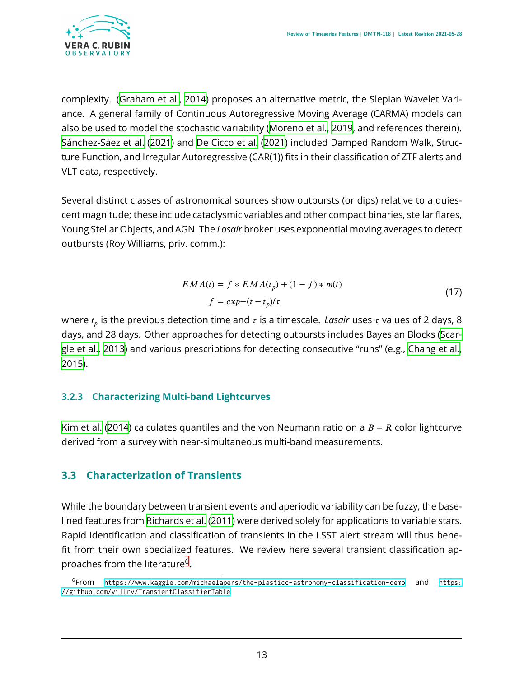

complexity. [\(Graham et al.,](#page-30-14) [2014\)](#page-30-14) proposes an alternative metric, the Slepian Wavelet Variance. A general family of Continuous Autoregressive Moving Average (CARMA) models can also be used to model the stochastic variability([Moreno et al.](#page-32-18), [2019,](#page-32-18) and references therein). [Sánchez-Sáez et al.](#page-33-5) [\(2021](#page-33-5)) and [De Cicco et al.](#page-30-15) [\(2021](#page-30-15)) included Damped Random Walk, Structure Function, and Irregular Autoregressive (CAR(1)) fits in their classification of ZTF alerts and VLT data, respectively.

Several distinct classes of astronomical sources show outbursts (or dips) relative to a quiescent magnitude; these include cataclysmic variables and other compact binaries, stellar flares, Young Stellar Objects, and AGN. The *Lasair* broker uses exponential moving averages to detect outbursts (Roy Williams, priv. comm.):

$$
EMA(t) = f * EMA(tp) + (1 - f) * m(t)
$$
  

$$
f = exp{-(t - tp)/\tau}
$$
 (17)

where  $t_{p}$  is the previous detection time and  $\tau$  is a timescale. *Lasair* uses  $\tau$  values of 2 days, 8 days, and 28 days. Other approaches for detecting outbursts includes Bayesian Blocks([Scar](#page-33-13)[gle et al.,](#page-33-13) [2013\)](#page-33-13) and various prescriptions for detecting consecutive "runs" (e.g., [Chang et al.](#page-29-7), [2015\)](#page-29-7).

#### <span id="page-17-0"></span>**3.2.3 Characterizing Multi-band Lightcurves**

[Kim et al.](#page-32-10) ([2014\)](#page-32-10) calculates quantiles and the von Neumann ratio on a  $B - R$  color lightcurve derived from a survey with near-simultaneous multi-band measurements.

### <span id="page-17-1"></span>**3.3 Characterization of Transients**

While the boundary between transient events and aperiodic variability can be fuzzy, the baselined features from [Richards et al.](#page-33-0) ([2011\)](#page-33-0) were derived solely for applications to variable stars. Rapid identification and classification of transients in the LSST alert stream will thus benefit from their own specialized features. We review here several transient classification ap-proaches from the literature<sup>[6](#page-17-2)</sup>.

<span id="page-17-2"></span><sup>6</sup> From <https://www.kaggle.com/michaelapers/the-plasticc-astronomy-classification-demo> and [https:](https://github.com/villrv/TransientClassifierTable) [//github.com/villrv/TransientClassifierTable](https://github.com/villrv/TransientClassifierTable)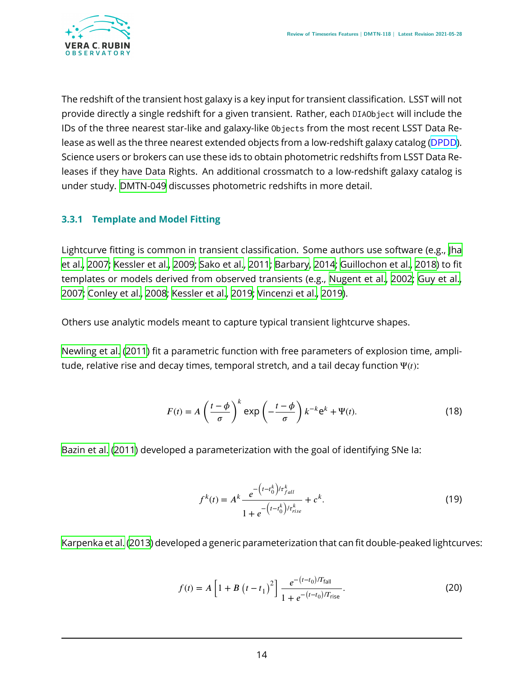

The redshift of the transient host galaxy is a key input for transient classification. LSST will not provide directly a single redshift for a given transient. Rather, each DIAObject will include the IDs of the three nearest star-like and galaxy-like Objects from the most recent LSST Data Release as well as the three nearest extended objects from a low-redshift galaxy catalog [\(DPDD\)](https://docushare.lsstcorp.org/docushare/dsweb/Get/LSE-163). Science users or brokers can use these ids to obtain photometric redshifts from LSST Data Releases if they have Data Rights. An additional crossmatch to a low-redshift galaxy catalog is under study. [DMTN-049](#page-30-16) discusses photometric redshifts in more detail.

#### <span id="page-18-0"></span>**3.3.1 Template and Model Fitting**

Lightcurve fitting is common in transient classification. Some authors use software (e.g., [Jha](#page-31-13) [et al.,](#page-31-13) [2007](#page-31-13); [Kessler et al.,](#page-31-14) [2009](#page-31-14); [Sako et al.,](#page-33-14) [2011](#page-33-14); [Barbary](#page-29-8), [2014;](#page-29-8) [Guillochon et al.,](#page-31-15) [2018](#page-31-15)) to fit templates or models derived from observed transients (e.g., [Nugent et al.,](#page-33-15) [2002](#page-33-15); [Guy et al.](#page-31-16), [2007;](#page-31-16) [Conley et al.,](#page-30-17) [2008](#page-30-17); [Kessler et al.,](#page-32-4) [2019](#page-32-4); [Vincenzi et al.](#page-34-17), [2019\)](#page-34-17).

Others use analytic models meant to capture typical transient lightcurve shapes.

[Newling et al.](#page-33-16) ([2011\)](#page-33-16) fit a parametric function with free parameters of explosion time, amplitude, relative rise and decay times, temporal stretch, and a tail decay function  $\Psi(t)$ :

$$
F(t) = A \left(\frac{t - \phi}{\sigma}\right)^k \exp\left(-\frac{t - \phi}{\sigma}\right) k^{-k} e^k + \Psi(t).
$$
 (18)

[Bazin et al.](#page-29-9) [\(2011](#page-29-9)) developed a parameterization with the goal of identifying SNe Ia:

$$
f^{k}(t) = A^{k} \frac{e^{-\left(t - t_{0}^{k}\right)/\tau_{fall}^{k}}}{1 + e^{-\left(t - t_{0}^{k}\right)/\tau_{rise}^{k}}} + c^{k}.
$$
\n(19)

[Karpenka et al.](#page-31-17) [\(2013](#page-31-17)) developed a generic parameterization that can fit double-peaked lightcurves:

$$
f(t) = A \left[ 1 + B \left( t - t_1 \right)^2 \right] \frac{e^{-(t - t_0)/T_{\text{fall}}}}{1 + e^{-(t - t_0)/T_{\text{rise}}}}.
$$
 (20)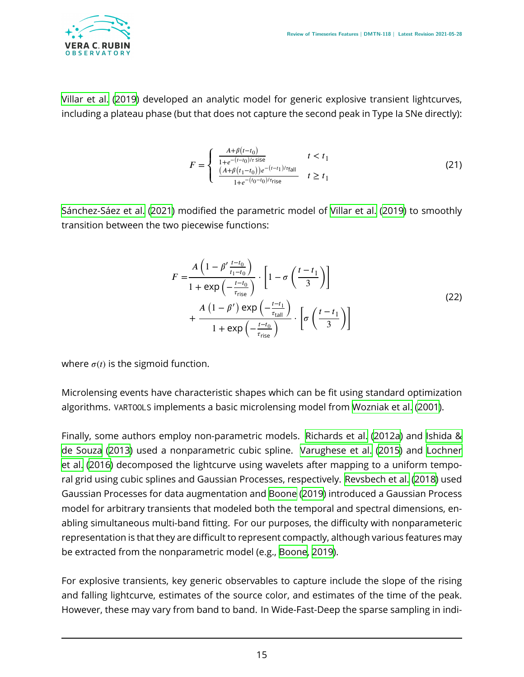

[Villar et al.](#page-34-18) ([2019\)](#page-34-18) developed an analytic model for generic explosive transient lightcurves, including a plateau phase (but that does not capture the second peak in Type Ia SNe directly):

$$
F = \begin{cases} \frac{A + \beta(t - t_0)}{1 + e^{-(t - t_0)/r \text{ size}}} & t < t_1\\ \frac{(A + \beta(t_1 - t_0))e^{-(t - t_1)/r \text{ fall}}}{1 + e^{-(t_0 - t_0)/r \text{ rise}}} & t \ge t_1 \end{cases} \tag{21}
$$

[Sánchez-Sáez et al.](#page-33-5) [\(2021](#page-33-5)) modified the parametric model of [Villar et al.](#page-34-18) ([2019\)](#page-34-18) to smoothly transition between the two piecewise functions:

$$
F = \frac{A\left(1 - \beta'\frac{t - t_0}{t_1 - t_0}\right)}{1 + \exp\left(-\frac{t - t_0}{\tau_{\text{rise}}}\right)} \cdot \left[1 - \sigma\left(\frac{t - t_1}{3}\right)\right]
$$
  
+ 
$$
\frac{A\left(1 - \beta'\right)\exp\left(-\frac{t - t_1}{\tau_{\text{tail}}}\right)}{1 + \exp\left(-\frac{t - t_0}{\tau_{\text{rise}}}\right)} \cdot \left[\sigma\left(\frac{t - t_1}{3}\right)\right]
$$
(22)

where  $\sigma(t)$  is the sigmoid function.

Microlensing events have characteristic shapes which can be fit using standard optimization algorithms. VARTOOLS implements a basic microlensing model from [Wozniak et al.](#page-34-19) [\(2001](#page-34-19)).

Finally, some authors employ non-parametric models. [Richards et al.](#page-33-17) ([2012a\)](#page-33-17) and [Ishida &](#page-31-18) [de Souza](#page-31-18) [\(2013\)](#page-31-18) used a nonparametric cubic spline. [Varughese et al.](#page-34-20) [\(2015](#page-34-20)) and [Lochner](#page-32-19) [et al.](#page-32-19) [\(2016](#page-32-19)) decomposed the lightcurve using wavelets after mapping to a uniform temporal grid using cubic splines and Gaussian Processes, respectively. [Revsbech et al.](#page-33-18) [\(2018](#page-33-18)) used Gaussian Processes for data augmentation and [Boone](#page-29-2) [\(2019](#page-29-2)) introduced a Gaussian Process model for arbitrary transients that modeled both the temporal and spectral dimensions, enabling simultaneous multi-band fitting. For our purposes, the difficulty with nonparameteric representation is that they are difficult to represent compactly, although various features may be extracted from the nonparametric model (e.g., [Boone](#page-29-2), [2019\)](#page-29-2).

For explosive transients, key generic observables to capture include the slope of the rising and falling lightcurve, estimates of the source color, and estimates of the time of the peak. However, these may vary from band to band. In Wide-Fast-Deep the sparse sampling in indi-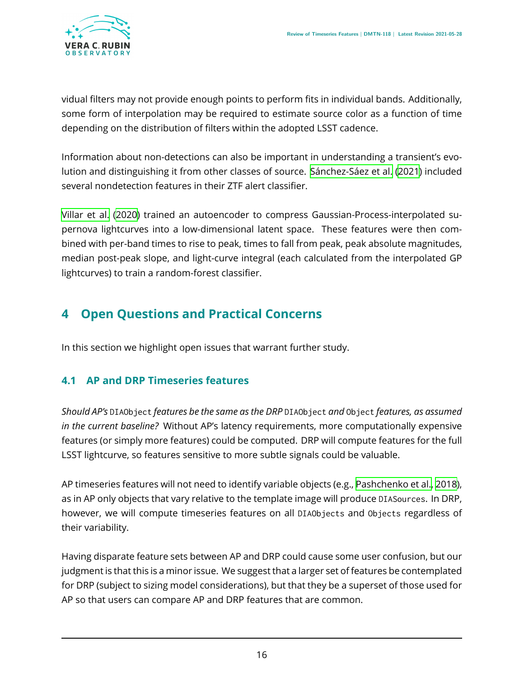

vidual filters may not provide enough points to perform fits in individual bands. Additionally, some form of interpolation may be required to estimate source color as a function of time depending on the distribution of filters within the adopted LSST cadence.

Information about non-detections can also be important in understanding a transient's evolution and distinguishing it from other classes of source. [Sánchez-Sáez et al.](#page-33-5) [\(2021](#page-33-5)) included several nondetection features in their ZTF alert classifier.

[Villar et al.](#page-34-3) [\(2020](#page-34-3)) trained an autoencoder to compress Gaussian-Process-interpolated supernova lightcurves into a low-dimensional latent space. These features were then combined with per-band times to rise to peak, times to fall from peak, peak absolute magnitudes, median post-peak slope, and light-curve integral (each calculated from the interpolated GP lightcurves) to train a random-forest classifier.

# <span id="page-20-0"></span>**4 Open Questions and Practical Concerns**

<span id="page-20-1"></span>In this section we highlight open issues that warrant further study.

### **4.1 AP and DRP Timeseries features**

*Should AP's* DIAObject *features be the same as the DRP* DIAObject *and* Object *features, as assumed in the current baseline?* Without AP's latency requirements, more computationally expensive features (or simply more features) could be computed. DRP will compute features for the full LSST lightcurve, so features sensitive to more subtle signals could be valuable.

AP timeseries features will not need to identify variable objects (e.g., [Pashchenko et al.](#page-33-4), [2018](#page-33-4)), as in AP only objects that vary relative to the template image will produce DIASources. In DRP, however, we will compute timeseries features on all DIAObjects and Objects regardless of their variability.

<span id="page-20-2"></span>Having disparate feature sets between AP and DRP could cause some user confusion, but our judgment is that this is a minor issue. We suggest that a larger set of features be contemplated for DRP (subject to sizing model considerations), but that they be a superset of those used for AP so that users can compare AP and DRP features that are common.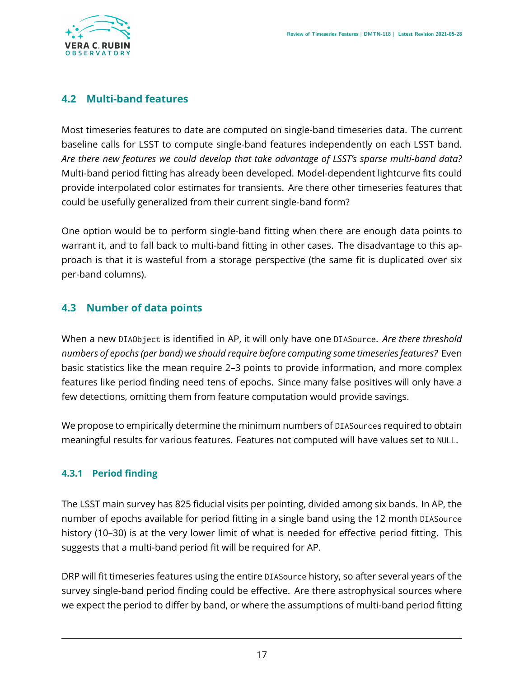

#### **4.2 Multi-band features**

Most timeseries features to date are computed on single-band timeseries data. The current baseline calls for LSST to compute single-band features independently on each LSST band. *Are there new features we could develop that take advantage of LSST's sparse multi-band data?* Multi-band period fitting has already been developed. Model-dependent lightcurve fits could provide interpolated color estimates for transients. Are there other timeseries features that could be usefully generalized from their current single-band form?

One option would be to perform single-band fitting when there are enough data points to warrant it, and to fall back to multi-band fitting in other cases. The disadvantage to this approach is that it is wasteful from a storage perspective (the same fit is duplicated over six per-band columns).

### <span id="page-21-0"></span>**4.3 Number of data points**

When a new DIAObject is identified in AP, it will only have one DIASource. *Are there threshold numbers of epochs (per band) we should require before computing some timeseries features?* Even basic statistics like the mean require 2–3 points to provide information, and more complex features like period finding need tens of epochs. Since many false positives will only have a few detections, omitting them from feature computation would provide savings.

We propose to empirically determine the minimum numbers of DIASources required to obtain meaningful results for various features. Features not computed will have values set to NULL.

#### <span id="page-21-1"></span>**4.3.1 Period finding**

The LSST main survey has 825 fiducial visits per pointing, divided among six bands. In AP, the number of epochs available for period fitting in a single band using the 12 month DIASource history (10-30) is at the very lower limit of what is needed for effective period fitting. This suggests that a multi-band period fit will be required for AP.

DRP will fit timeseries features using the entire DIASource history, so after several years of the survey single-band period finding could be effective. Are there astrophysical sources where we expect the period to differ by band, or where the assumptions of multi-band period fitting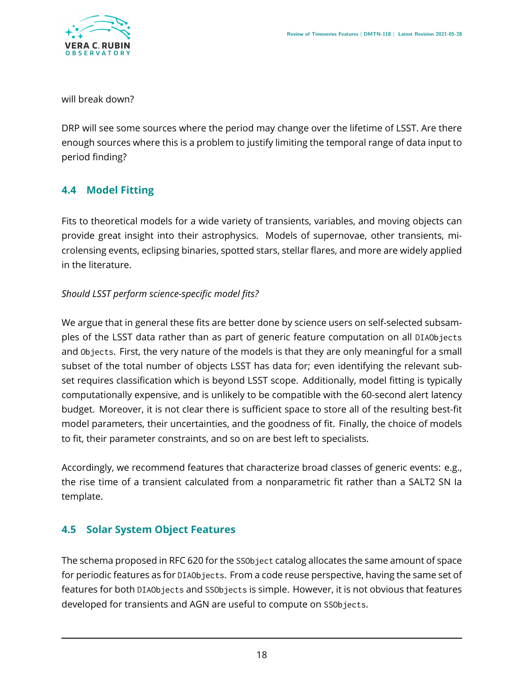

will break down?

DRP will see some sources where the period may change over the lifetime of LSST. Are there enough sources where this is a problem to justify limiting the temporal range of data input to period finding?

### <span id="page-22-0"></span>**4.4 Model Fitting**

Fits to theoretical models for a wide variety of transients, variables, and moving objects can provide great insight into their astrophysics. Models of supernovae, other transients, microlensing events, eclipsing binaries, spotted stars, stellar flares, and more are widely applied in the literature.

#### *Should LSST perform science-specific model fits?*

We argue that in general these fits are better done by science users on self-selected subsamples of the LSST data rather than as part of generic feature computation on all DIAObjects and Objects. First, the very nature of the models is that they are only meaningful for a small subset of the total number of objects LSST has data for; even identifying the relevant subset requires classification which is beyond LSST scope. Additionally, model fitting is typically computationally expensive, and is unlikely to be compatible with the 60-second alert latency budget. Moreover, it is not clear there is sufficient space to store all of the resulting best-fit model parameters, their uncertainties, and the goodness of fit. Finally, the choice of models to fit, their parameter constraints, and so on are best left to specialists.

Accordingly, we recommend features that characterize broad classes of generic events: e.g., the rise time of a transient calculated from a nonparametric fit rather than a SALT2 SN Ia template.

#### <span id="page-22-1"></span>**4.5 Solar System Object Features**

The schema proposed in RFC 620 for the SSObject catalog allocates the same amount of space for periodic features as for DIAObjects. From a code reuse perspective, having the same set of features for both DIAObjects and SSObjects is simple. However, it is not obvious that features developed for transients and AGN are useful to compute on SSObjects.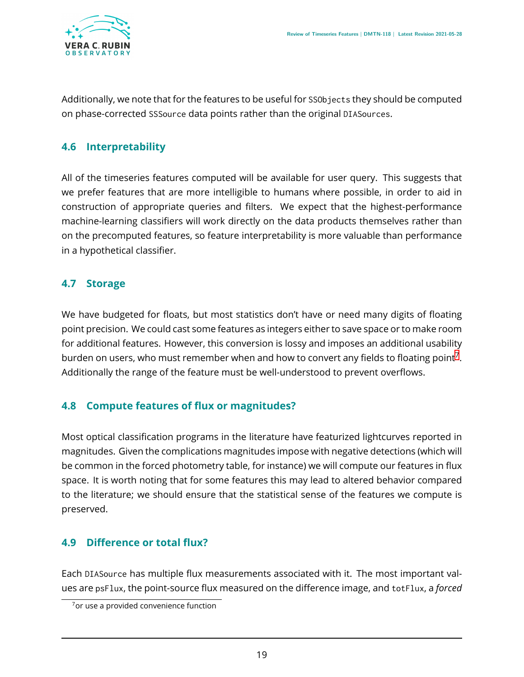

Additionally, we note that for the features to be useful for SSObjects they should be computed on phase-corrected SSSource data points rather than the original DIASources.

### <span id="page-23-0"></span>**4.6 Interpretability**

All of the timeseries features computed will be available for user query. This suggests that we prefer features that are more intelligible to humans where possible, in order to aid in construction of appropriate queries and filters. We expect that the highest-performance machine-learning classifiers will work directly on the data products themselves rather than on the precomputed features, so feature interpretability is more valuable than performance in a hypothetical classifier.

### <span id="page-23-1"></span>**4.7 Storage**

We have budgeted for floats, but most statistics don't have or need many digits of floating point precision. We could cast some features as integers either to save space or to make room for additional features. However, this conversion is lossy and imposes an additional usability burden on users, who must remember when and how to convert any fields to floating point<sup>[7](#page-23-4)</sup>. Additionally the range of the feature must be well-understood to prevent overflows.

### <span id="page-23-2"></span>**4.8 Compute features of flux or magnitudes?**

Most optical classification programs in the literature have featurized lightcurves reported in magnitudes. Given the complications magnitudes impose with negative detections (which will be common in the forced photometry table, for instance) we will compute our features in flux space. It is worth noting that for some features this may lead to altered behavior compared to the literature; we should ensure that the statistical sense of the features we compute is preserved.

### <span id="page-23-3"></span>**4.9 Difference or total flux?**

Each DIASource has multiple flux measurements associated with it. The most important values are psFlux, the point-source flux measured on the difference image, and totFlux, a *forced*

<span id="page-23-4"></span><sup>&</sup>lt;sup>7</sup> or use a provided convenience function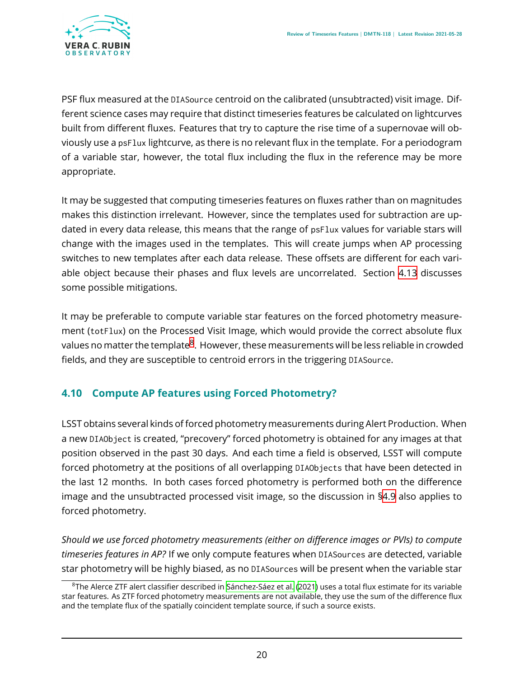

PSF flux measured at the DIASource centroid on the calibrated (unsubtracted) visit image. Different science cases may require that distinct timeseries features be calculated on lightcurves built from different fluxes. Features that try to capture the rise time of a supernovae will obviously use a psFlux lightcurve, as there is no relevant flux in the template. For a periodogram of a variable star, however, the total flux including the flux in the reference may be more appropriate.

It may be suggested that computing timeseries features on fluxes rather than on magnitudes makes this distinction irrelevant. However, since the templates used for subtraction are updated in every data release, this means that the range of psFlux values for variable stars will change with the images used in the templates. This will create jumps when AP processing switches to new templates after each data release. These offsets are different for each variable object because their phases and flux levels are uncorrelated. Section [4.13](#page-26-0) discusses some possible mitigations.

It may be preferable to compute variable star features on the forced photometry measurement (totFlux) on the Processed Visit Image, which would provide the correct absolute flux values no matter the template<sup>[8](#page-24-1)</sup>. However, these measurements will be less reliable in crowded fields, and they are susceptible to centroid errors in the triggering DIASource.

### <span id="page-24-0"></span>**4.10 Compute AP features using Forced Photometry?**

LSST obtains several kinds of forced photometry measurements during Alert Production. When a new DIAObject is created, "precovery" forced photometry is obtained for any images at that position observed in the past 30 days. And each time a field is observed, LSST will compute forced photometry at the positions of all overlapping DIAObjects that have been detected in the last 12 months. In both cases forced photometry is performed both on the difference image and the unsubtracted processed visit image, so the discussion in [§4.9](#page-23-3) also applies to forced photometry.

*Should we use forced photometry measurements (either on difference images or PVIs) to compute timeseries features in AP?* If we only compute features when DIASources are detected, variable star photometry will be highly biased, as no DIASources will be present when the variable star

<span id="page-24-1"></span><sup>&</sup>lt;sup>8</sup>The Alerce ZTF alert classifier described in [Sánchez-Sáez et al.](#page-33-5) ([2021](#page-33-5)) uses a total flux estimate for its variable star features. As ZTF forced photometry measurements are not available, they use the sum of the difference flux and the template flux of the spatially coincident template source, if such a source exists.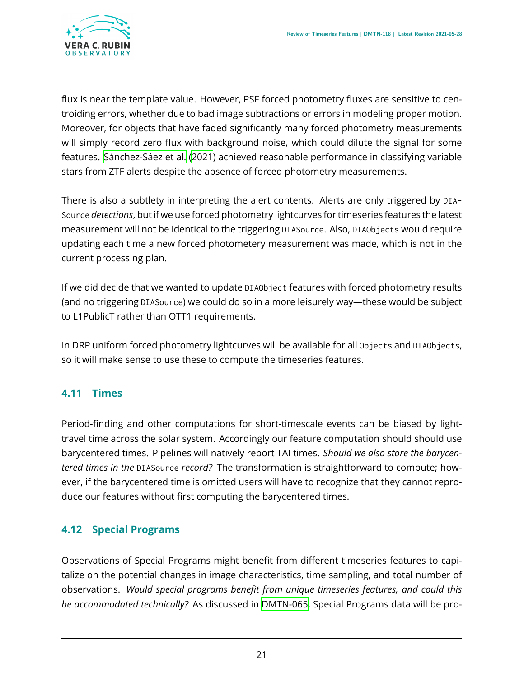

flux is near the template value. However, PSF forced photometry fluxes are sensitive to centroiding errors, whether due to bad image subtractions or errors in modeling proper motion. Moreover, for objects that have faded significantly many forced photometry measurements will simply record zero flux with background noise, which could dilute the signal for some features. [Sánchez-Sáez et al.](#page-33-5) [\(2021\)](#page-33-5) achieved reasonable performance in classifying variable stars from ZTF alerts despite the absence of forced photometry measurements.

There is also a subtlety in interpreting the alert contents. Alerts are only triggered by DIA-Source *detections*, but if we use forced photometry lightcurves for timeseries features the latest measurement will not be identical to the triggering DIASource. Also, DIAObjects would require updating each time a new forced photometery measurement was made, which is not in the current processing plan.

If we did decide that we wanted to update DIAObject features with forced photometry results (and no triggering DIASource) we could do so in a more leisurely way—these would be subject to L1PublicT rather than OTT1 requirements.

In DRP uniform forced photometry lightcurves will be available for all Objects and DIAObjects, so it will make sense to use these to compute the timeseries features.

### <span id="page-25-0"></span>**4.11 Times**

Period-finding and other computations for short-timescale events can be biased by lighttravel time across the solar system. Accordingly our feature computation should should use barycentered times. Pipelines will natively report TAI times. *Should we also store the barycentered times in the* DIASource *record?* The transformation is straightforward to compute; however, if the barycentered time is omitted users will have to recognize that they cannot reproduce our features without first computing the barycentered times.

### <span id="page-25-1"></span>**4.12 Special Programs**

Observations of Special Programs might benefit from different timeseries features to capitalize on the potential changes in image characteristics, time sampling, and total number of observations. *Would special programs benefit from unique timeseries features, and could this be accommodated technically?* As discussed in [DMTN-065](#page-30-18), Special Programs data will be pro-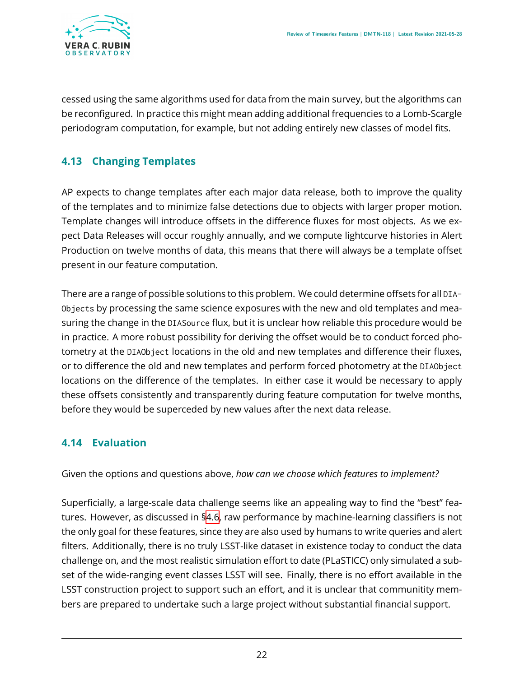

cessed using the same algorithms used for data from the main survey, but the algorithms can be reconfigured. In practice this might mean adding additional frequencies to a Lomb-Scargle periodogram computation, for example, but not adding entirely new classes of model fits.

### <span id="page-26-0"></span>**4.13 Changing Templates**

AP expects to change templates after each major data release, both to improve the quality of the templates and to minimize false detections due to objects with larger proper motion. Template changes will introduce offsets in the difference fluxes for most objects. As we expect Data Releases will occur roughly annually, and we compute lightcurve histories in Alert Production on twelve months of data, this means that there will always be a template offset present in our feature computation.

There are a range of possible solutions to this problem. We could determine offsets for all DIA-Objects by processing the same science exposures with the new and old templates and measuring the change in the DIASource flux, but it is unclear how reliable this procedure would be in practice. A more robust possibility for deriving the offset would be to conduct forced photometry at the DIAObject locations in the old and new templates and difference their fluxes, or to difference the old and new templates and perform forced photometry at the DIAObject locations on the difference of the templates. In either case it would be necessary to apply these offsets consistently and transparently during feature computation for twelve months, before they would be superceded by new values after the next data release.

### <span id="page-26-1"></span>**4.14 Evaluation**

Given the options and questions above, *how can we choose which features to implement?*

Superficially, a large-scale data challenge seems like an appealing way to find the "best" features. However, as discussed in§[4.6](#page-23-0), raw performance by machine-learning classifiers is not the only goal for these features, since they are also used by humans to write queries and alert filters. Additionally, there is no truly LSST-like dataset in existence today to conduct the data challenge on, and the most realistic simulation effort to date (PLaSTICC) only simulated a subset of the wide-ranging event classes LSST will see. Finally, there is no effort available in the LSST construction project to support such an effort, and it is unclear that communitity members are prepared to undertake such a large project without substantial financial support.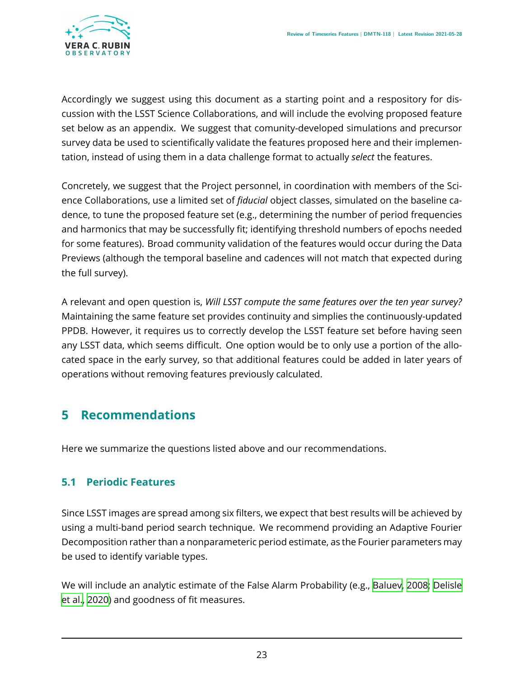

Accordingly we suggest using this document as a starting point and a respository for discussion with the LSST Science Collaborations, and will include the evolving proposed feature set below as an appendix. We suggest that comunity-developed simulations and precursor survey data be used to scientifically validate the features proposed here and their implementation, instead of using them in a data challenge format to actually *select* the features.

Concretely, we suggest that the Project personnel, in coordination with members of the Science Collaborations, use a limited set of *fiducial* object classes, simulated on the baseline cadence, to tune the proposed feature set (e.g., determining the number of period frequencies and harmonics that may be successfully fit; identifying threshold numbers of epochs needed for some features). Broad community validation of the features would occur during the Data Previews (although the temporal baseline and cadences will not match that expected during the full survey).

A relevant and open question is, *Will LSST compute the same features over the ten year survey?* Maintaining the same feature set provides continuity and simplies the continuously-updated PPDB. However, it requires us to correctly develop the LSST feature set before having seen any LSST data, which seems difficult. One option would be to only use a portion of the allocated space in the early survey, so that additional features could be added in later years of operations without removing features previously calculated.

# <span id="page-27-0"></span>**5 Recommendations**

<span id="page-27-1"></span>Here we summarize the questions listed above and our recommendations.

### **5.1 Periodic Features**

Since LSST images are spread among six filters, we expect that best results will be achieved by using a multi-band period search technique. We recommend providing an Adaptive Fourier Decomposition rather than a nonparameteric period estimate, as the Fourier parameters may be used to identify variable types.

<span id="page-27-2"></span>We will include an analytic estimate of the False Alarm Probability (e.g., [Baluev,](#page-29-3) [2008](#page-29-3); [Delisle](#page-30-12) [et al.,](#page-30-12) [2020\)](#page-30-12) and goodness of fit measures.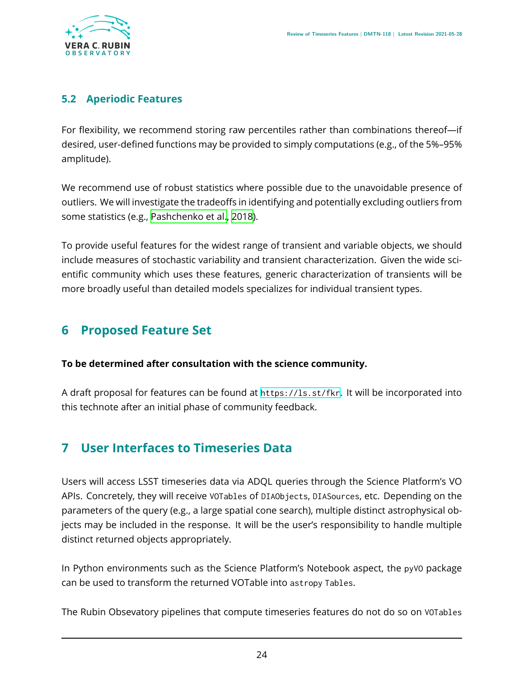

#### **5.2 Aperiodic Features**

For flexibility, we recommend storing raw percentiles rather than combinations thereof—if desired, user-defined functions may be provided to simply computations (e.g., of the 5%–95% amplitude).

We recommend use of robust statistics where possible due to the unavoidable presence of outliers. We will investigate the tradeoffs in identifying and potentially excluding outliers from some statistics (e.g., [Pashchenko et al.](#page-33-4), [2018\)](#page-33-4).

To provide useful features for the widest range of transient and variable objects, we should include measures of stochastic variability and transient characterization. Given the wide scientific community which uses these features, generic characterization of transients will be more broadly useful than detailed models specializes for individual transient types.

# <span id="page-28-0"></span>**6 Proposed Feature Set**

#### **To be determined after consultation with the science community.**

A draft proposal for features can be found at <https://ls.st/fkr>. It will be incorporated into this technote after an initial phase of community feedback.

# <span id="page-28-1"></span>**7 User Interfaces to Timeseries Data**

Users will access LSST timeseries data via ADQL queries through the Science Platform's VO APIs. Concretely, they will receive VOTables of DIAObjects, DIASources, etc. Depending on the parameters of the query (e.g., a large spatial cone search), multiple distinct astrophysical objects may be included in the response. It will be the user's responsibility to handle multiple distinct returned objects appropriately.

In Python environments such as the Science Platform's Notebook aspect, the pyVO package can be used to transform the returned VOTable into astropy Tables.

The Rubin Obsevatory pipelines that compute timeseries features do not do so on VOTables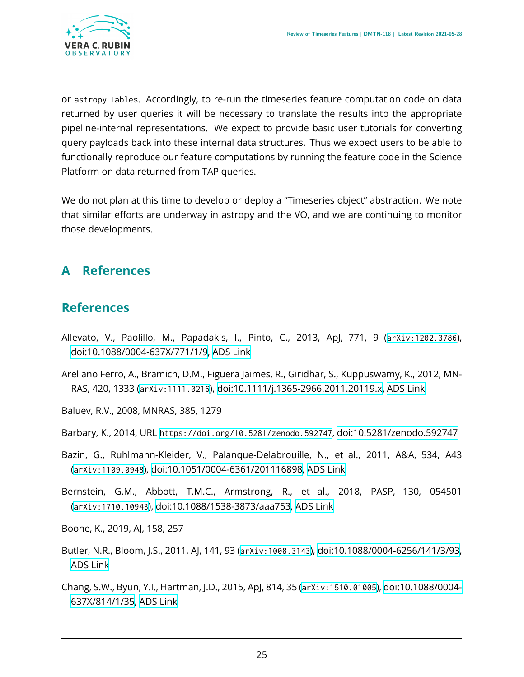

or astropy Tables. Accordingly, to re-run the timeseries feature computation code on data returned by user queries it will be necessary to translate the results into the appropriate pipeline-internal representations. We expect to provide basic user tutorials for converting query payloads back into these internal data structures. Thus we expect users to be able to functionally reproduce our feature computations by running the feature code in the Science Platform on data returned from TAP queries.

We do not plan at this time to develop or deploy a "Timeseries object" abstraction. We note that similar efforts are underway in astropy and the VO, and we are continuing to monitor those developments.

# <span id="page-29-0"></span>**A References**

# **References**

- <span id="page-29-5"></span>Allevato, V., Paolillo, M., Papadakis, I., Pinto, C., 2013, ApJ, 771, 9 ([arXiv:1202.3786](http://arxiv.org/abs/1202.3786)), [doi:10.1088/0004-637X/771/1/9,](http://doi.org/10.1088/0004-637X/771/1/9) [ADS Link](https://ui.adsabs.harvard.edu/abs/2013ApJ...771....9A)
- <span id="page-29-6"></span>Arellano Ferro, A., Bramich, D.M., Figuera Jaimes, R., Giridhar, S., Kuppuswamy, K., 2012, MN-RAS, 420, 1333 ([arXiv:1111.0216](http://arxiv.org/abs/1111.0216)), [doi:10.1111/j.1365-2966.2011.20119.x,](http://doi.org/10.1111/j.1365-2966.2011.20119.x) [ADS Link](https://ui.adsabs.harvard.edu/abs/2012MNRAS.420.1333A)
- <span id="page-29-3"></span>Baluev, R.V., 2008, MNRAS, 385, 1279

<span id="page-29-8"></span>Barbary, K., 2014, URL <https://doi.org/10.5281/zenodo.592747>, [doi:10.5281/zenodo.592747](http://doi.org/{10.5281/zenodo.592747})

- <span id="page-29-9"></span>Bazin, G., Ruhlmann-Kleider, V., Palanque-Delabrouille, N., et al., 2011, A&A, 534, A43 ([arXiv:1109.0948](http://arxiv.org/abs/1109.0948)), [doi:10.1051/0004-6361/201116898,](http://doi.org/10.1051/0004-6361/201116898) [ADS Link](https://ui.adsabs.harvard.edu/abs/2011A&A...534A..43B)
- <span id="page-29-4"></span>Bernstein, G.M., Abbott, T.M.C., Armstrong, R., et al., 2018, PASP, 130, 054501 ([arXiv:1710.10943](http://arxiv.org/abs/1710.10943)), [doi:10.1088/1538-3873/aaa753,](http://doi.org/10.1088/1538-3873/aaa753) [ADS Link](https://ui.adsabs.harvard.edu/abs/2018PASP..130e4501B)

<span id="page-29-2"></span>Boone, K., 2019, AJ, 158, 257

- <span id="page-29-1"></span>Butler, N.R., Bloom, J.S., 2011, AJ, 141, 93 ([arXiv:1008.3143](http://arxiv.org/abs/1008.3143)), [doi:10.1088/0004-6256/141/3/93](http://doi.org/10.1088/0004-6256/141/3/93), [ADS Link](http://adsabs.harvard.edu/abs/2011AJ....141...93B)
- <span id="page-29-7"></span>Chang, S.W., Byun, Y.I., Hartman, J.D., 2015, ApJ, 814, 35 ([arXiv:1510.01005](http://arxiv.org/abs/1510.01005)), [doi:10.1088/0004-](http://doi.org/10.1088/0004-637X/814/1/35) [637X/814/1/35](http://doi.org/10.1088/0004-637X/814/1/35), [ADS Link](https://ui.adsabs.harvard.edu/abs/2015ApJ...814...35C)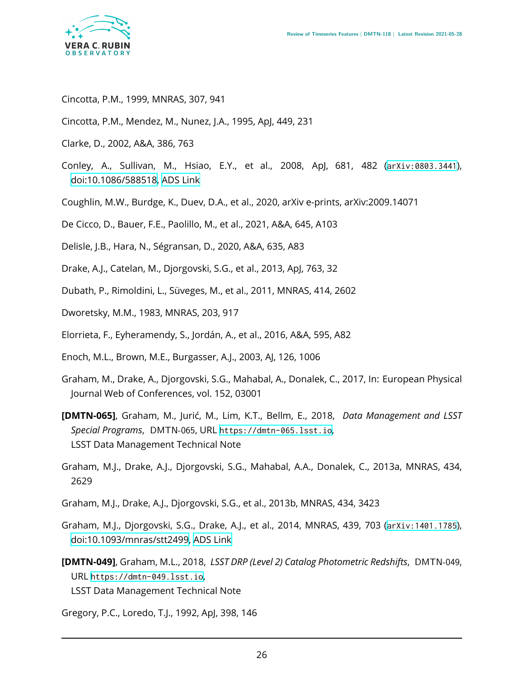

- <span id="page-30-6"></span>Cincotta, P.M., 1999, MNRAS, 307, 941
- <span id="page-30-5"></span>Cincotta, P.M., Mendez, M., Nunez, J.A., 1995, ApJ, 449, 231
- <span id="page-30-4"></span>Clarke, D., 2002, A&A, 386, 763
- <span id="page-30-17"></span>Conley, A., Sullivan, M., Hsiao, E.Y., et al., 2008, ApJ, 681, 482 ([arXiv:0803.3441](http://arxiv.org/abs/0803.3441)), [doi:10.1086/588518,](http://doi.org/10.1086/588518) [ADS Link](https://ui.adsabs.harvard.edu/abs/2008ApJ...681..482C)
- <span id="page-30-1"></span>Coughlin, M.W., Burdge, K., Duev, D.A., et al., 2020, arXiv e-prints, arXiv:2009.14071
- <span id="page-30-15"></span>De Cicco, D., Bauer, F.E., Paolillo, M., et al., 2021, A&A, 645, A103
- <span id="page-30-12"></span>Delisle, J.B., Hara, N., Ségransan, D., 2020, A&A, 635, A83
- <span id="page-30-11"></span>Drake, A.J., Catelan, M., Djorgovski, S.G., et al., 2013, ApJ, 763, 32
- <span id="page-30-10"></span>Dubath, P., Rimoldini, L., Süveges, M., et al., 2011, MNRAS, 414, 2602
- <span id="page-30-3"></span>Dworetsky, M.M., 1983, MNRAS, 203, 917
- <span id="page-30-0"></span>Elorrieta, F., Eyheramendy, S., Jordán, A., et al., 2016, A&A, 595, A82
- <span id="page-30-13"></span>Enoch, M.L., Brown, M.E., Burgasser, A.J., 2003, AJ, 126, 1006
- <span id="page-30-2"></span>Graham, M., Drake, A., Djorgovski, S.G., Mahabal, A., Donalek, C., 2017, In: European Physical Journal Web of Conferences, vol. 152, 03001
- <span id="page-30-18"></span>**[DMTN-065]**, Graham, M., Jurić, M., Lim, K.T., Bellm, E., 2018, *Data Management and LSST Special Programs*, DMTN-065, URL <https://dmtn-065.lsst.io>, LSST Data Management Technical Note
- <span id="page-30-7"></span>Graham, M.J., Drake, A.J., Djorgovski, S.G., Mahabal, A.A., Donalek, C., 2013a, MNRAS, 434, 2629
- <span id="page-30-9"></span>Graham, M.J., Drake, A.J., Djorgovski, S.G., et al., 2013b, MNRAS, 434, 3423
- <span id="page-30-14"></span>Graham, M.J., Djorgovski, S.G., Drake, A.J., et al., 2014, MNRAS, 439, 703 ([arXiv:1401.1785](http://arxiv.org/abs/1401.1785)), [doi:10.1093/mnras/stt2499,](http://doi.org/10.1093/mnras/stt2499) [ADS Link](https://ui.adsabs.harvard.edu/abs/2014MNRAS.439..703G)
- <span id="page-30-16"></span>**[DMTN-049]**, Graham, M.L., 2018, *LSST DRP (Level 2) Catalog Photometric Redshifts*, DMTN-049, URL <https://dmtn-049.lsst.io>, LSST Data Management Technical Note

<span id="page-30-8"></span>Gregory, P.C., Loredo, T.J., 1992, ApJ, 398, 146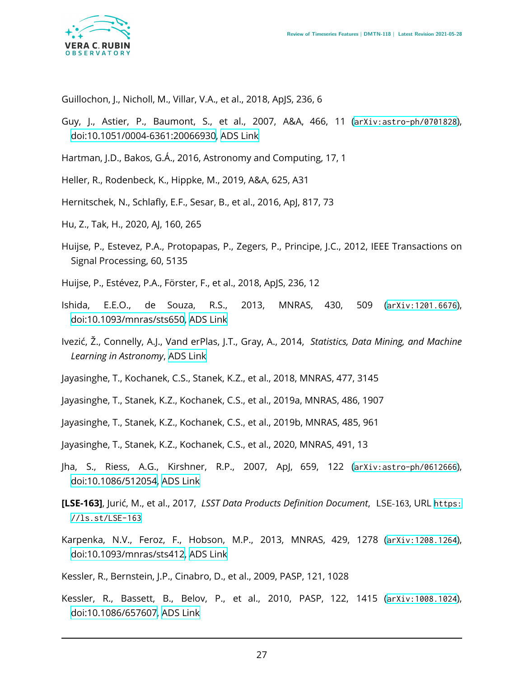

<span id="page-31-15"></span>Guillochon, J., Nicholl, M., Villar, V.A., et al., 2018, ApJS, 236, 6

- <span id="page-31-16"></span>Guy, J., Astier, P., Baumont, S., et al., 2007, A&A, 466, 11 ([arXiv:astro-ph/0701828](http://arxiv.org/abs/astro-ph/0701828)), [doi:10.1051/0004-6361:20066930](http://doi.org/10.1051/0004-6361:20066930), [ADS Link](https://ui.adsabs.harvard.edu/abs/2007A&A...466...11G)
- <span id="page-31-7"></span>Hartman, J.D., Bakos, G.Á., 2016, Astronomy and Computing, 17, 1
- <span id="page-31-9"></span>Heller, R., Rodenbeck, K., Hippke, M., 2019, A&A, 625, A31
- <span id="page-31-5"></span>Hernitschek, N., Schlafly, E.F., Sesar, B., et al., 2016, ApJ, 817, 73
- <span id="page-31-12"></span>Hu, Z., Tak, H., 2020, AJ, 160, 265
- <span id="page-31-8"></span>Huijse, P., Estevez, P.A., Protopapas, P., Zegers, P., Principe, J.C., 2012, IEEE Transactions on Signal Processing, 60, 5135
- <span id="page-31-10"></span>Huijse, P., Estévez, P.A., Förster, F., et al., 2018, ApJS, 236, 12
- <span id="page-31-18"></span>Ishida, E.E.O., de Souza, R.S., 2013, MNRAS, 430, 509 ([arXiv:1201.6676](http://arxiv.org/abs/1201.6676)), [doi:10.1093/mnras/sts650,](http://doi.org/10.1093/mnras/sts650) [ADS Link](https://ui.adsabs.harvard.edu/abs/2013MNRAS.430..509I)
- <span id="page-31-11"></span>Ivezić, Ž., Connelly, A.J., Vand erPlas, J.T., Gray, A., 2014, *Statistics, Data Mining, and Machine Learning in Astronomy*, [ADS Link](https://ui.adsabs.harvard.edu/abs/2014sdmm.book.....I)
- <span id="page-31-1"></span>Jayasinghe, T., Kochanek, C.S., Stanek, K.Z., et al., 2018, MNRAS, 477, 3145
- <span id="page-31-2"></span>Jayasinghe, T., Stanek, K.Z., Kochanek, C.S., et al., 2019a, MNRAS, 486, 1907
- <span id="page-31-3"></span>Jayasinghe, T., Stanek, K.Z., Kochanek, C.S., et al., 2019b, MNRAS, 485, 961
- <span id="page-31-4"></span>Jayasinghe, T., Stanek, K.Z., Kochanek, C.S., et al., 2020, MNRAS, 491, 13
- <span id="page-31-13"></span>Jha, S., Riess, A.G., Kirshner, R.P., 2007, ApJ, 659, 122 ([arXiv:astro-ph/0612666](http://arxiv.org/abs/astro-ph/0612666)), [doi:10.1086/512054,](http://doi.org/10.1086/512054) [ADS Link](https://ui.adsabs.harvard.edu/abs/2007ApJ...659..122J)
- <span id="page-31-0"></span>**[LSE-163]**, Jurić, M., et al., 2017, *LSST Data Products Definition Document*, LSE-163, URL [https:](https://ls.st/LSE-163) [//ls.st/LSE-163](https://ls.st/LSE-163)
- <span id="page-31-17"></span>Karpenka, N.V., Feroz, F., Hobson, M.P., 2013, MNRAS, 429, 1278 ([arXiv:1208.1264](http://arxiv.org/abs/1208.1264)), [doi:10.1093/mnras/sts412,](http://doi.org/10.1093/mnras/sts412) [ADS Link](https://ui.adsabs.harvard.edu/abs/2013MNRAS.429.1278K)

<span id="page-31-14"></span>Kessler, R., Bernstein, J.P., Cinabro, D., et al., 2009, PASP, 121, 1028

<span id="page-31-6"></span>Kessler, R., Bassett, B., Belov, P., et al., 2010, PASP, 122, 1415 ([arXiv:1008.1024](http://arxiv.org/abs/1008.1024)), [doi:10.1086/657607,](http://doi.org/10.1086/657607) [ADS Link](https://ui.adsabs.harvard.edu/abs/2010PASP..122.1415K)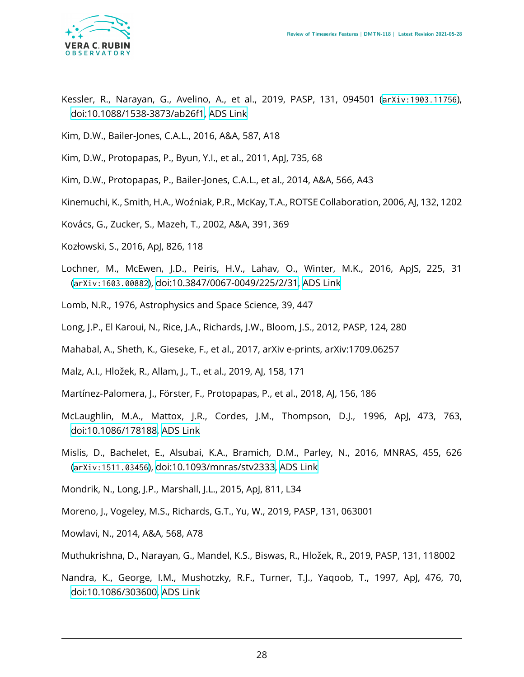

- <span id="page-32-4"></span>Kessler, R., Narayan, G., Avelino, A., et al., 2019, PASP, 131, 094501 ([arXiv:1903.11756](http://arxiv.org/abs/1903.11756)), [doi:10.1088/1538-3873/ab26f1,](http://doi.org/10.1088/1538-3873/ab26f1) [ADS Link](https://ui.adsabs.harvard.edu/abs/2019PASP..131i4501K)
- <span id="page-32-5"></span>Kim, D.W., Bailer-Jones, C.A.L., 2016, A&A, 587, A18
- <span id="page-32-14"></span>Kim, D.W., Protopapas, P., Byun, Y.I., et al., 2011, ApJ, 735, 68
- <span id="page-32-10"></span>Kim, D.W., Protopapas, P., Bailer-Jones, C.A.L., et al., 2014, A&A, 566, A43
- <span id="page-32-11"></span>Kinemuchi, K., Smith, H.A., Woźniak, P.R., McKay, T.A., ROTSE Collaboration, 2006, AJ, 132, 1202
- <span id="page-32-7"></span>Kovács, G., Zucker, S., Mazeh, T., 2002, A&A, 391, 369
- <span id="page-32-17"></span>Kozłowski, S., 2016, ApJ, 826, 118
- <span id="page-32-19"></span>Lochner, M., McEwen, J.D., Peiris, H.V., Lahav, O., Winter, M.K., 2016, ApJS, 225, 31 ([arXiv:1603.00882](http://arxiv.org/abs/1603.00882)), [doi:10.3847/0067-0049/225/2/31](http://doi.org/10.3847/0067-0049/225/2/31), [ADS Link](https://ui.adsabs.harvard.edu/abs/2016ApJS..225...31L)
- <span id="page-32-6"></span>Lomb, N.R., 1976, Astrophysics and Space Science, 39, 447
- <span id="page-32-9"></span>Long, J.P., El Karoui, N., Rice, J.A., Richards, J.W., Bloom, J.S., 2012, PASP, 124, 280
- <span id="page-32-0"></span>Mahabal, A., Sheth, K., Gieseke, F., et al., 2017, arXiv e-prints, arXiv:1709.06257
- <span id="page-32-3"></span>Malz, A.I., Hložek, R., Allam, J., T., et al., 2019, AJ, 158, 171
- <span id="page-32-2"></span>Martínez-Palomera, J., Förster, F., Protopapas, P., et al., 2018, AJ, 156, 186
- <span id="page-32-12"></span>McLaughlin, M.A., Mattox, J.R., Cordes, J.M., Thompson, D.J., 1996, ApJ, 473, 763, [doi:10.1086/178188,](http://doi.org/10.1086/178188) [ADS Link](https://ui.adsabs.harvard.edu/abs/1996ApJ...473..763M)
- <span id="page-32-16"></span>Mislis, D., Bachelet, E., Alsubai, K.A., Bramich, D.M., Parley, N., 2016, MNRAS, 455, 626 ([arXiv:1511.03456](http://arxiv.org/abs/1511.03456)), [doi:10.1093/mnras/stv2333](http://doi.org/10.1093/mnras/stv2333), [ADS Link](https://ui.adsabs.harvard.edu/abs/2016MNRAS.455..626M)
- <span id="page-32-8"></span>Mondrik, N., Long, J.P., Marshall, J.L., 2015, ApJ, 811, L34
- <span id="page-32-18"></span>Moreno, J., Vogeley, M.S., Richards, G.T., Yu, W., 2019, PASP, 131, 063001
- <span id="page-32-15"></span>Mowlavi, N., 2014, A&A, 568, A78
- <span id="page-32-1"></span>Muthukrishna, D., Narayan, G., Mandel, K.S., Biswas, R., Hložek, R., 2019, PASP, 131, 118002
- <span id="page-32-13"></span>Nandra, K., George, I.M., Mushotzky, R.F., Turner, T.J., Yaqoob, T., 1997, ApJ, 476, 70, [doi:10.1086/303600,](http://doi.org/10.1086/303600) [ADS Link](https://ui.adsabs.harvard.edu/abs/1997ApJ...476...70N)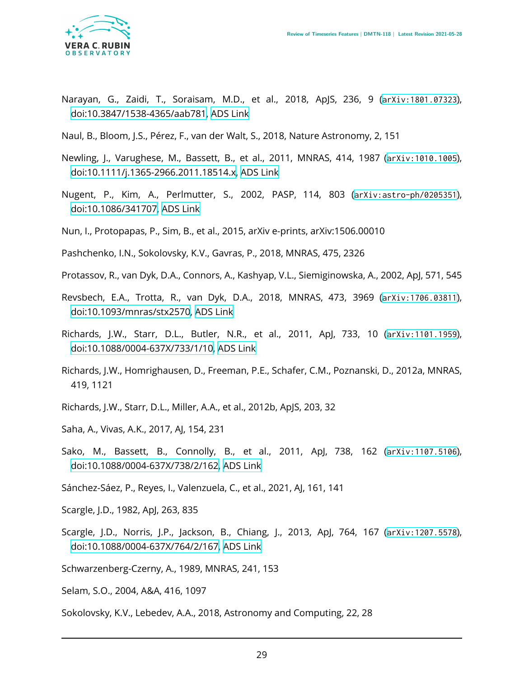

- <span id="page-33-3"></span>Narayan, G., Zaidi, T., Soraisam, M.D., et al., 2018, ApJS, 236, 9 ([arXiv:1801.07323](http://arxiv.org/abs/1801.07323)), [doi:10.3847/1538-4365/aab781](http://doi.org/10.3847/1538-4365/aab781), [ADS Link](https://ui.adsabs.harvard.edu/abs/2018ApJS..236....9N)
- <span id="page-33-1"></span>Naul, B., Bloom, J.S., Pérez, F., van der Walt, S., 2018, Nature Astronomy, 2, 151
- <span id="page-33-16"></span>Newling, J., Varughese, M., Bassett, B., et al., 2011, MNRAS, 414, 1987 ([arXiv:1010.1005](http://arxiv.org/abs/1010.1005)), [doi:10.1111/j.1365-2966.2011.18514.x,](http://doi.org/10.1111/j.1365-2966.2011.18514.x) [ADS Link](https://ui.adsabs.harvard.edu/abs/2011MNRAS.414.1987N)
- <span id="page-33-15"></span>Nugent, P., Kim, A., Perlmutter, S., 2002, PASP, 114, 803 ([arXiv:astro-ph/0205351](http://arxiv.org/abs/astro-ph/0205351)), [doi:10.1086/341707,](http://doi.org/10.1086/341707) [ADS Link](https://ui.adsabs.harvard.edu/abs/2002PASP..114..803N)
- <span id="page-33-6"></span>Nun, I., Protopapas, P., Sim, B., et al., 2015, arXiv e-prints, arXiv:1506.00010
- <span id="page-33-4"></span>Pashchenko, I.N., Sokolovsky, K.V., Gavras, P., 2018, MNRAS, 475, 2326
- <span id="page-33-11"></span>Protassov, R., van Dyk, D.A., Connors, A., Kashyap, V.L., Siemiginowska, A., 2002, ApJ, 571, 545
- <span id="page-33-18"></span>Revsbech, E.A., Trotta, R., van Dyk, D.A., 2018, MNRAS, 473, 3969 ([arXiv:1706.03811](http://arxiv.org/abs/1706.03811)), [doi:10.1093/mnras/stx2570](http://doi.org/10.1093/mnras/stx2570), [ADS Link](https://ui.adsabs.harvard.edu/abs/2018MNRAS.473.3969R)
- <span id="page-33-0"></span>Richards, J.W., Starr, D.L., Butler, N.R., et al., 2011, ApJ, 733, 10 ([arXiv:1101.1959](http://arxiv.org/abs/1101.1959)), [doi:10.1088/0004-637X/733/1/10](http://doi.org/10.1088/0004-637X/733/1/10), [ADS Link](http://adsabs.harvard.edu/abs/2011ApJ...733...10R)
- <span id="page-33-17"></span>Richards, J.W., Homrighausen, D., Freeman, P.E., Schafer, C.M., Poznanski, D., 2012a, MNRAS, 419, 1121
- <span id="page-33-2"></span>Richards, J.W., Starr, D.L., Miller, A.A., et al., 2012b, ApJS, 203, 32
- <span id="page-33-12"></span>Saha, A., Vivas, A.K., 2017, AJ, 154, 231
- <span id="page-33-14"></span>Sako, M., Bassett, B., Connolly, B., et al., 2011, ApJ, 738, 162 ([arXiv:1107.5106](http://arxiv.org/abs/1107.5106)), [doi:10.1088/0004-637X/738/2/162](http://doi.org/10.1088/0004-637X/738/2/162), [ADS Link](https://ui.adsabs.harvard.edu/abs/2011ApJ...738..162S)
- <span id="page-33-5"></span>Sánchez-Sáez, P., Reyes, I., Valenzuela, C., et al., 2021, AJ, 161, 141
- <span id="page-33-8"></span>Scargle, J.D., 1982, ApJ, 263, 835
- <span id="page-33-13"></span>Scargle, J.D., Norris, J.P., Jackson, B., Chiang, J., 2013, ApJ, 764, 167 ([arXiv:1207.5578](http://arxiv.org/abs/1207.5578)), [doi:10.1088/0004-637X/764/2/167](http://doi.org/10.1088/0004-637X/764/2/167), [ADS Link](https://ui.adsabs.harvard.edu/abs/2013ApJ...764..167S)
- <span id="page-33-9"></span>Schwarzenberg-Czerny, A., 1989, MNRAS, 241, 153
- <span id="page-33-10"></span>Selam, S.O., 2004, A&A, 416, 1097
- <span id="page-33-7"></span>Sokolovsky, K.V., Lebedev, A.A., 2018, Astronomy and Computing, 22, 28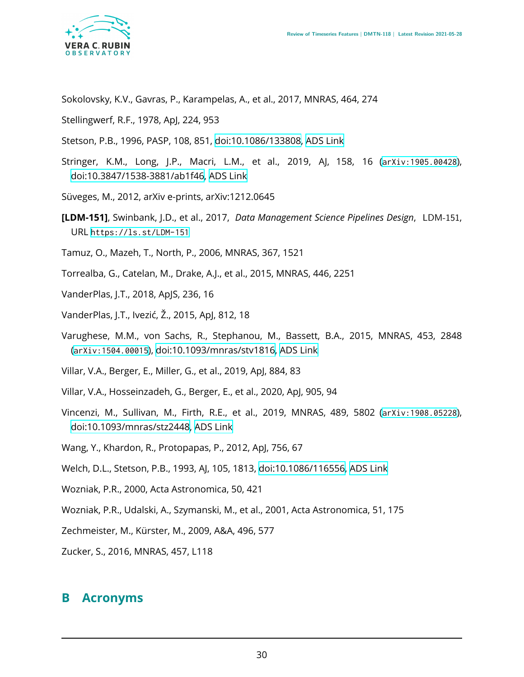

- <span id="page-34-4"></span>Sokolovsky, K.V., Gavras, P., Karampelas, A., et al., 2017, MNRAS, 464, 274
- <span id="page-34-7"></span>Stellingwerf, R.F., 1978, ApJ, 224, 953
- <span id="page-34-2"></span>Stetson, P.B., 1996, PASP, 108, 851, [doi:10.1086/133808,](http://doi.org/10.1086/133808) [ADS Link](http://adsabs.harvard.edu/abs/1996PASP..108..851S)
- <span id="page-34-12"></span>Stringer, K.M., Long, J.P., Macri, L.M., et al., 2019, AJ, 158, 16 ([arXiv:1905.00428](http://arxiv.org/abs/1905.00428)), [doi:10.3847/1538-3881/ab1f46,](http://doi.org/10.3847/1538-3881/ab1f46) [ADS Link](https://ui.adsabs.harvard.edu/abs/2019AJ....158...16S)
- <span id="page-34-13"></span>Süveges, M., 2012, arXiv e-prints, arXiv:1212.0645
- <span id="page-34-0"></span>**[LDM-151]**, Swinbank, J.D., et al., 2017, *Data Management Science Pipelines Design*, LDM-151, URL <https://ls.st/LDM-151>
- <span id="page-34-15"></span>Tamuz, O., Mazeh, T., North, P., 2006, MNRAS, 367, 1521
- <span id="page-34-10"></span>Torrealba, G., Catelan, M., Drake, A.J., et al., 2015, MNRAS, 446, 2251
- <span id="page-34-6"></span>VanderPlas, J.T., 2018, ApJS, 236, 16
- <span id="page-34-11"></span>VanderPlas, J.T., Ivezić, Ž., 2015, ApJ, 812, 18
- <span id="page-34-20"></span>Varughese, M.M., von Sachs, R., Stephanou, M., Bassett, B.A., 2015, MNRAS, 453, 2848 ([arXiv:1504.00015](http://arxiv.org/abs/1504.00015)), [doi:10.1093/mnras/stv1816](http://doi.org/10.1093/mnras/stv1816), [ADS Link](https://ui.adsabs.harvard.edu/abs/2015MNRAS.453.2848V)
- <span id="page-34-18"></span>Villar, V.A., Berger, E., Miller, G., et al., 2019, ApJ, 884, 83
- <span id="page-34-3"></span>Villar, V.A., Hosseinzadeh, G., Berger, E., et al., 2020, ApJ, 905, 94
- <span id="page-34-17"></span>Vincenzi, M., Sullivan, M., Firth, R.E., et al., 2019, MNRAS, 489, 5802 ([arXiv:1908.05228](http://arxiv.org/abs/1908.05228)), [doi:10.1093/mnras/stz2448,](http://doi.org/10.1093/mnras/stz2448) [ADS Link](https://ui.adsabs.harvard.edu/abs/2019MNRAS.489.5802V)
- <span id="page-34-9"></span>Wang, Y., Khardon, R., Protopapas, P., 2012, ApJ, 756, 67
- <span id="page-34-16"></span>Welch, D.L., Stetson, P.B., 1993, AJ, 105, 1813, [doi:10.1086/116556](http://doi.org/10.1086/116556), [ADS Link](https://ui.adsabs.harvard.edu/abs/1993AJ....105.1813W)
- <span id="page-34-14"></span>Wozniak, P.R., 2000, Acta Astronomica, 50, 421
- <span id="page-34-19"></span>Wozniak, P.R., Udalski, A., Szymanski, M., et al., 2001, Acta Astronomica, 51, 175
- <span id="page-34-5"></span>Zechmeister, M., Kürster, M., 2009, A&A, 496, 577
- <span id="page-34-8"></span><span id="page-34-1"></span>Zucker, S., 2016, MNRAS, 457, L118

#### **B Acronyms**